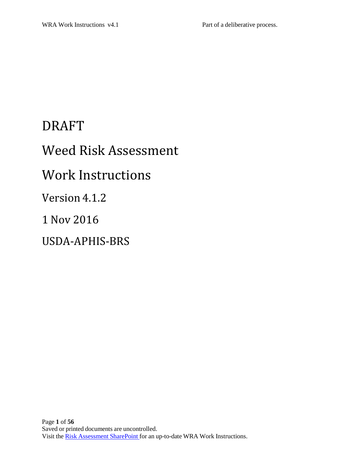# DRAFT

# Weed Risk Assessment

# Work Instructions

# Version 4.1.2

## 1 Nov 2016

# USDA‐APHIS‐BRS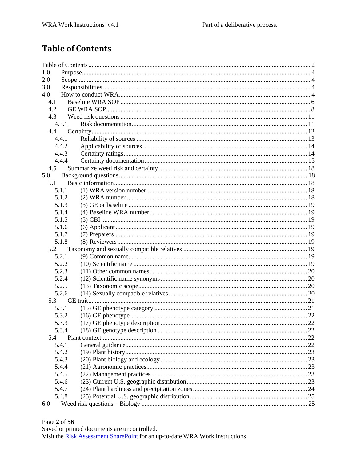## **Table of Contents**

| 1.0 |                |  |  |  |
|-----|----------------|--|--|--|
| 2.0 |                |  |  |  |
| 3.0 |                |  |  |  |
| 4.0 |                |  |  |  |
| 4.1 |                |  |  |  |
| 4.2 |                |  |  |  |
| 4.3 |                |  |  |  |
|     | 4.3.1          |  |  |  |
| 4.4 |                |  |  |  |
|     | 4.4.1<br>4.4.2 |  |  |  |
|     | 4.4.3          |  |  |  |
|     | 4.4.4          |  |  |  |
|     | 4.5            |  |  |  |
| 5.0 |                |  |  |  |
| 5.1 |                |  |  |  |
|     | 5.1.1          |  |  |  |
|     | 5.1.2          |  |  |  |
|     | 5.1.3          |  |  |  |
|     | 5.1.4          |  |  |  |
|     | 5.1.5          |  |  |  |
|     | 5.1.6          |  |  |  |
|     | 5.1.7          |  |  |  |
|     | 5.1.8          |  |  |  |
|     | 5.2            |  |  |  |
|     | 5.2.1          |  |  |  |
|     | 5.2.2          |  |  |  |
|     | 5.2.3          |  |  |  |
|     | 5.2.4          |  |  |  |
|     | 5.2.5          |  |  |  |
|     | 5.2.6          |  |  |  |
|     | 5.3            |  |  |  |
|     | 5.3.1          |  |  |  |
|     | 5.3.2          |  |  |  |
|     | 5.3.3          |  |  |  |
|     | 5.3.4          |  |  |  |
| 5.4 |                |  |  |  |
|     | 5.4.1          |  |  |  |
|     | 5.4.2          |  |  |  |
|     | 5.4.3          |  |  |  |
|     | 5.4.4          |  |  |  |
|     | 5.4.5          |  |  |  |
|     | 5.4.6          |  |  |  |
|     | 5.4.7          |  |  |  |
|     | 5.4.8          |  |  |  |
| 6.0 |                |  |  |  |

#### Page 2 of 56

Saved or printed documents are uncontrolled.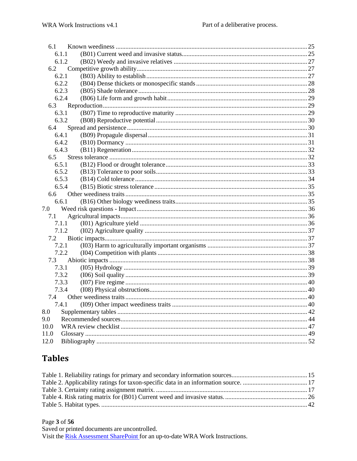| 6.1   |  |
|-------|--|
| 6.1.1 |  |
| 6.1.2 |  |
| 6.2   |  |
| 6.2.1 |  |
| 6.2.2 |  |
| 6.2.3 |  |
| 6.2.4 |  |
| 6.3   |  |
| 6.3.1 |  |
| 6.3.2 |  |
| 6.4   |  |
| 6.4.1 |  |
| 6.4.2 |  |
| 6.4.3 |  |
| 6.5   |  |
| 6.5.1 |  |
| 6.5.2 |  |
| 6.5.3 |  |
| 6.5.4 |  |
| 6.6   |  |
| 6.6.1 |  |
| 7.0   |  |
| 7.1   |  |
| 7.1.1 |  |
| 7.1.2 |  |
| 7.2   |  |
| 7.2.1 |  |
| 7.2.2 |  |
| 7.3   |  |
| 7.3.1 |  |
| 7.3.2 |  |
| 7.3.3 |  |
| 7.3.4 |  |
| 7.4   |  |
| 7.4.1 |  |
| 8.0   |  |
| 9.0   |  |
| 10.0  |  |
| 11.0  |  |
| 12.0  |  |

### **Tables**

#### Page 3 of 56

Saved or printed documents are uncontrolled. Visit the Risk Assessment SharePoint for an up-to-date WRA Work Instructions.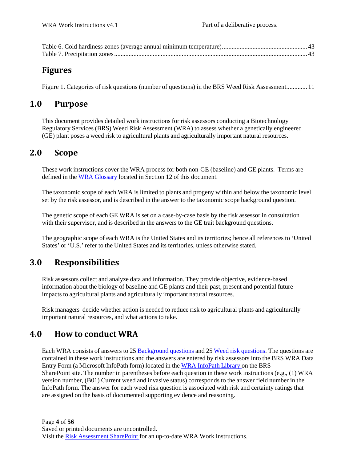### **Figures**

Figure 1. Categories of risk questions (number of questions) in the BRS Weed Risk Assessment............. 11

### **1.0 Purpose**

This document provides detailed work instructions for risk assessors conducting a Biotechnology Regulatory Services (BRS) Weed Risk Assessment (WRA) to assess whether a genetically engineered (GE) plant poses a weed risk to agricultural plants and agriculturally important natural resources.

### **2.0 Scope**

These work instructions cover the WRA process for both non-GE (baseline) and GE plants. Terms are defined in the WRA Glossary located in Section 12 of this document.

The taxonomic scope of each WRA is limited to plants and progeny within and below the taxonomic level set by the risk assessor, and is described in the answer to the taxonomic scope background question.

The genetic scope of each GE WRA is set on a case-by-case basis by the risk assessor in consultation with their supervisor, and is described in the answers to the GE trait background questions.

The geographic scope of each WRA is the United States and its territories; hence all references to 'United States' or 'U.S.' refer to the United States and its territories, unless otherwise stated.

### **3.0 Responsibilities**

Risk assessors collect and analyze data and information. They provide objective, evidence-based information about the biology of baseline and GE plants and their past, present and potential future impacts to agricultural plants and agriculturally important natural resources.

Risk managers decide whether action is needed to reduce risk to agricultural plants and agriculturally important natural resources, and what actions to take.

### **4.0 How to conduct WRA**

Each WRA consists of answers to 25 Background questions and 25 Weed risk questions. The questions are contained in these work instructions and the answers are entered by risk assessors into the BRS WRA Data Entry Form (a Microsoft InfoPath form) located in the WRA InfoPath Library on the BRS SharePoint site. The number in parentheses before each question in these work instructions (e.g.,  $(1)$  WRA version number, (B01) Current weed and invasive status) corresponds to the answer field number in the InfoPath form. The answer for each weed risk question is associated with risk and certainty ratings that are assigned on the basis of documented supporting evidence and reasoning.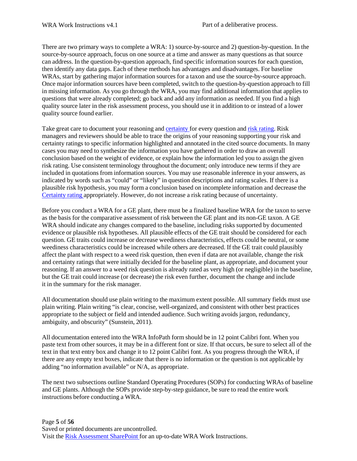There are two primary ways to complete a WRA: 1) source-by-source and 2) question-by-question. In the source-by-source approach, focus on one source at a time and answer as many questions as that source can address. In the question-by-question approach, find specific information sources for each question, then identify any data gaps. Each of these methods has advantages and disadvantages. For baseline WRAs, start by gathering major information sources for a taxon and use the source-by-source approach. Once major information sources have been completed, switch to the question-by-question approach to fill in missing information. As you go through the WRA, you may find additional information that applies to questions that were already completed; go back and add any information as needed. If you find a high quality source later in the risk assessment process, you should use it in addition to or instead of a lower quality source found earlier.

Take great care to document your reasoning and certainty for every question and risk rating. Risk managers and reviewers should be able to trace the origins of your reasoning supporting your risk and certainty ratings to specific information highlighted and annotated in the cited source documents. In many cases you may need to synthesize the information you have gathered in order to draw an overall conclusion based on the weight of evidence, or explain how the information led you to assign the given risk rating. Use consistent terminology throughout the document; only introduce new terms if they are included in quotations from information sources. You may use reasonable inference in your answers, as indicated by words such as "could" or "likely" in question descriptions and rating scales. If there is a plausible risk hypothesis, you may form a conclusion based on incomplete information and decrease the Certainty rating appropriately. However, do not increase a risk rating because of uncertainty.

Before you conduct a WRA for a GE plant, there must be a finalized baseline WRA for the taxon to serve as the basis for the comparative assessment of risk between the GE plant and its non-GE taxon. A GE WRA should indicate any changes compared to the baseline, including risks supported by documented evidence or plausible risk hypotheses. All plausible effects of the GE trait should be considered for each question. GE traits could increase or decrease weediness characteristics, effects could be neutral, or some weediness characteristics could be increased while others are decreased. If the GE trait could plausibly affect the plant with respect to a weed risk question, then even if data are not available, change the risk and certainty ratings that were initially decided for the baseline plant, as appropriate, and document your reasoning. If an answer to a weed risk question is already rated as very high (or negligible) in the baseline, but the GE trait could increase (or decrease) the risk even further, document the change and include it in the summary for the risk manager.

All documentation should use plain writing to the maximum extent possible. All summary fields must use plain writing. Plain writing "is clear, concise, well-organized, and consistent with other best practices appropriate to the subject or field and intended audience. Such writing avoids jargon, redundancy, ambiguity, and obscurity" (Sunstein, 2011).

All documentation entered into the WRA InfoPath form should be in 12 point Calibri font. When you paste text from other sources, it may be in a different font or size. If that occurs, be sure to select all of the text in that text entry box and change it to 12 point Calibri font. As you progress through the WRA, if there are any empty text boxes, indicate that there is no information or the question is not applicable by adding "no information available" or N/A, as appropriate.

The next two subsections outline Standard Operating Procedures (SOPs) for conducting WRAs of baseline and GE plants. Although the SOPs provide step-by-step guidance, be sure to read the entire work instructions before conducting a WRA.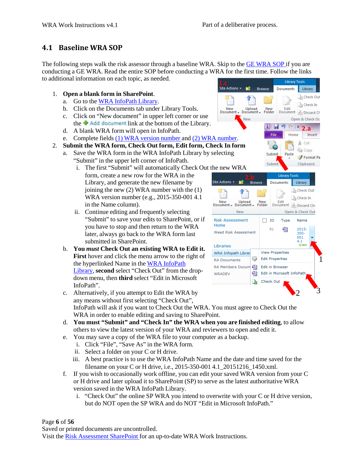### **4.1 Baseline WRA SOP**

The following steps walk the risk assessor through a baseline WRA. Skip to the GE WRA SOP if you are conducting a GE WRA. Read the entire SOP before conducting a WRA for the first time. Follow the links to additional information on each topic, as needed.

- 1. **Open a blank form in SharePoint**.
	- a. Go to the WRA InfoPath Library.
	- b. Click on the Documents tab under Library Tools.
	- c. Click on "New document" in upper left corner or use
	- A blank WRA form will open in InfoPath.
	- e. Complete fields (1) WRA version number and (2) WRA number.
- 2. **Submit the WRA form, Check Out form, Edit form, Check In form**
	- a. Save the WRA form in the WRA InfoPath Library by selecting "Submit" in the upper left corner of InfoPath.
		- i. The first "Submit" will automatically Check Out the new WRA form, create a new row for the WRA in the **2.b**<br>Library, and generate the new filename by site Actions **2.b** Browse Library, and generate the new filename by joining the new (2) WRA number with the (1) WRA version number (e.g., 2015-350-001 4.1 in the Name column).
		- ii. Continue editing and frequently selecting "Submit" to save your edits to SharePoint, or if you have to stop and then return to the WRA later, always go back to the WRA form last submitted in SharePoint.
	- b. **You** *must* **Check Out an existing WRA to Edit it. First** hover and click the menu arrow to the right of the hyperlinked Name in the WRA InfoPath Library, **second** select "Check Out" from the dropdown menu, then **third** select "Edit in Microsoft InfoPath".
	- $\therefore$  Alternatively, if you attempt to Edit the WRA by any means without first selecting "Check Out", InfoPath will ask if you want to Check Out the WRA. You must agree to Check Out the WRA in order to enable editing and saving to SharePoint.
	- **You must "Submit" and "Check In" the WRA when you are finished editing**, to allow d. others to view the latest version of your WRA and reviewers to open and edit it.
	- You may save a copy of the WRA file to your computer as a backup. e.
		- i. Click "File", "Save As" in the WRA form.
		- ii. Select a folder on your C or H drive.
		- iii. A best practice is to use the WRA InfoPath Name and the date and time saved for the filename on your C or H drive, i.e., 2015-350-001 4.1\_20151216\_1450.xml.
	- f. If you wish to occasionally work offline, you can edit your saved WRA version from your C or H drive and later upload it to SharePoint (SP) to serve as the latest authoritative WRA version saved in the WRA InfoPath Library.
		- i. "Check Out" the online SP WRA you intend to overwrite with your C or H drive version, but do NOT open the SP WRA and do NOT "Edit in Microsoft InfoPath."

Page **6** of **56**

Saved or printed documents are uncontrolled.



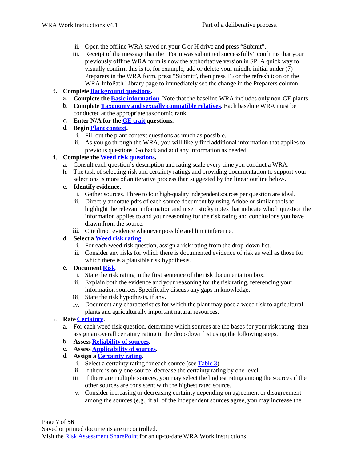- ii. Open the offline WRA saved on your C or H drive and press "Submit".
- iii. Receipt of the message that the "Form was submitted successfully" confirms that your previously offline WRA form is now the authoritative version in SP. A quick way to visually confirm this is to, for example, add or delete your middle initial under (7) Preparers in the WRA form, press "Submit", then press F5 or the refresh icon on the WRA InfoPath Library page to immediately see the change in the Preparers column.
- 3. **Complete Background questions.**
	- a. **Complete the Basic information.** Note that the baseline WRA includes only non-GE plants.
	- b. **Complete Taxonomy and sexually compatible relatives**. Each baseline WRA must be conducted at the appropriate taxonomic rank.
	- **Enter N/A for the GE trait questions.** c.
	- **Begin Plant context.** d.
		- i. Fill out the plant context questions as much as possible.
		- ii. As you go through the WRA, you will likely find additional information that applies to previous questions. Go back and add any information as needed.

#### 4. **Complete the Weed risk questions.**

- a. Consult each question's description and rating scale every time you conduct a WRA.
- b. The task of selecting risk and certainty ratings and providing documentation to support your selections is more of an iterative process than suggested by the linear outline below.
- c. **Identify evidence**.
	- i. Gather sources. Three to four high-quality independent sources per question are ideal.
	- ii. Directly annotate pdfs of each source document by using Adobe or similar tools to highlight the relevant information and insert sticky notes that indicate which question the information applies to and your reasoning for the risk rating and conclusions you have drawn from the source.
	- iii. Cite direct evidence whenever possible and limit inference.

#### d. **Select a Weed risk rating**.

- i. For each weed risk question, assign a risk rating from the drop-down list.
- ii. Consider any risks for which there is documented evidence of risk as well as those for which there is a plausible risk hypothesis.

#### e. **Document Risk**.

- i. State the risk rating in the first sentence of the risk documentation box.
- ii. Explain both the evidence and your reasoning for the risk rating, referencing your information sources. Specifically discuss any gaps in knowledge.
- iii. State the risk hypothesis, if any.
- iv. Document any characteristics for which the plant may pose a weed risk to agricultural plants and agriculturally important natural resources.

#### 5. **Rate Certainty.**

- a. For each weed risk question, determine which sources are the bases for your risk rating, then assign an overall certainty rating in the drop-down list using the following steps.
- **Assess Reliability of sources.** b.
- **Assess Applicability of sources.** c.
- **Assign a Certainty rating**. d.
	- i. Select a certainty rating for each source (see Table 3).
	- ii. If there is only one source, decrease the certainty rating by one level.
	- iii. If there are multiple sources, you may select the highest rating among the sources if the other sources are consistent with the highest rated source.
	- iv. Consider increasing or decreasing certainty depending on agreement or disagreement among the sources (e.g., if all of the independent sources agree, you may increase the

Page **7** of **56**

Saved or printed documents are uncontrolled.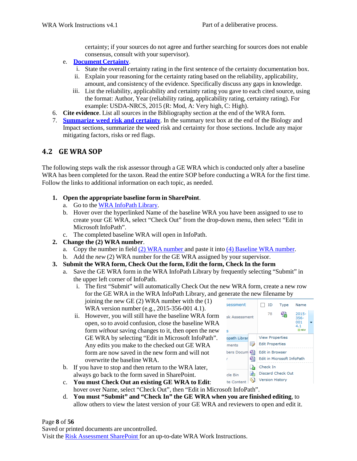certainty; if your sources do not agree and further searching for sources does not enable consensus, consult with your supervisor).

- e. **Document Certainty**.
	- i. State the overall certainty rating in the first sentence of the certainty documentation box.
	- ii. Explain your reasoning for the certainty rating based on the reliability, applicability, amount, and consistency of the evidence. Specifically discuss any gaps in knowledge.
	- iii. List the reliability, applicability and certainty rating you gave to each cited source, using the format: Author, Year (reliability rating, applicability rating, certainty rating). For example: USDA-NRCS, 2015 (R: Mod, A: Very high, C: High).
- 6. **Cite evidence**. List all sources in the Bibliography section at the end of the WRA form.
- 7. **Summarize weed risk and certainty**. In the summary text box at the end of the Biology and Impact sections, summarize the weed risk and certainty for those sections. Include any major mitigating factors, risks or red flags.

#### **4.2 GE WRA SOP**

The following steps walk the risk assessor through a GE WRA which is conducted only after a baseline WRA has been completed for the taxon. Read the entire SOP before conducting a WRA for the first time. Follow the links to additional information on each topic, as needed.

- **1. Open the appropriate baseline form in SharePoint**.
	- a. Go to the WRA InfoPath Library.
	- b. Hover over the hyperlinked Name of the baseline WRA you have been assigned to use to create your GE WRA, select "Check Out" from the drop-down menu, then select "Edit in Microsoft InfoPath".
	- c. The completed baseline WRA will open in InfoPath.
- **2. Change the (2) WRA number**.
	- a. Copy the number in field (2) WRA number and paste it into (4) Baseline WRA number.
	- b. Add the *new* (2) WRA number for the GE WRA assigned by your supervisor.
- **3. Submit the WRA form, Check Out the form, Edit the form, Check In the form**
	- a. Save the GE WRA form in the WRA InfoPath Library by frequently selecting "Submit" in the upper left corner of InfoPath.
		- i. The first "Submit" will automatically Check Out the new WRA form, create a new row for the GE WRA in the WRA InfoPath Library, and generate the new filename by joining the new GE (2) WRA number with the (1) sessment  $\Box$  ID Type WRA version number (e.g., 2015-356-001 4.1).
		- ii. However, you will still have the baseline WRA form open, so to avoid confusion, close the baseline WRA form *without* saving changes to it, then open the new GE WRA by selecting "Edit in Microsoft InfoPath". Any edits you make to the checked out GE WRA form are now saved in the new form and will not overwrite the baseline WRA.
	- b. If you have to stop and then return to the WRA later, always go back to the form saved in SharePoint.



- **You must Check Out an existing GE WRA to Edit**: c. hover over Name, select "Check Out", then "Edit in Microsoft InfoPath".
- **You must "Submit" and "Check In" the GE WRA when you are finished editing**, to d. allow others to view the latest version of your GE WRA and reviewers to open and edit it.

#### Page **8** of **56**

Saved or printed documents are uncontrolled.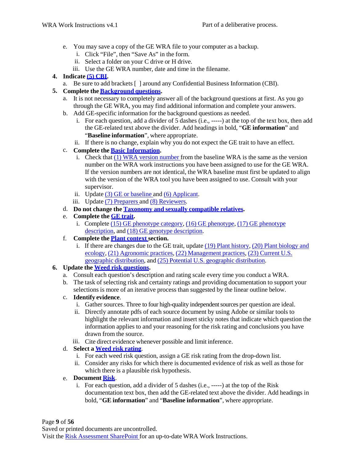- e. You may save a copy of the GE WRA file to your computer as a backup.
	- i. Click "File", then "Save As" in the form.
	- ii. Select a folder on your C drive or H drive.
	- iii. Use the GE WRA number, date and time in the filename.
- **4. Indicate (5) CBI.**
	- a. Be sure to add brackets [ ] around any Confidential Business Information (CBI).
- **5. Complete the Background questions.**
	- a. It is not necessary to completely answer all of the background questions at first. As you go through the GE WRA, you may find additional information and complete your answers.
	- Add GE-specific information for the background questions as needed. b.
		- i. For each question, add a divider of 5 dashes (i.e., -----) at the top of the text box, then add the GE-related text above the divider. Add headings in bold, "**GE information**" and "**Baseline information**", where appropriate.
		- ii. If there is no change, explain why you do not expect the GE trait to have an effect.
	- **Complete the Basic Information.** c.
		- i. Check that (1) WRA version number from the baseline WRA is the same as the version number on the WRA work instructions you have been assigned to use for the GE WRA. If the version numbers are not identical, the WRA baseline must first be updated to align with the version of the WRA tool you have been assigned to use. Consult with your supervisor.
		- ii. Update (3) GE or baseline and (6) Applicant.
		- iii. Update (7) Preparers and (8) Reviewers.
	- d. **Do not change the Taxonomy and sexually compatible relatives.**
	- e. **Complete the GE trait.**
		- i. Complete  $(15)$  GE phenotype category,  $(16)$  GE phenotype,  $(17)$  GE phenotype description, and (18) GE genotype description.
	- **Complete the Plant context section.** f.
		- i. If there are changes due to the GE trait, update (19) Plant history, (20) Plant biology and ecology, (21) Agronomic practices, (22) Management practices, (23) Current U.S. geographic distribution, and (25) Potential U.S. geographic distribution.

#### **6. Update the Weed risk questions.**

- a. Consult each question's description and rating scale every time you conduct a WRA.
- b. The task of selecting risk and certainty ratings and providing documentation to support your selections is more of an iterative process than suggested by the linear outline below.
- c. **Identify evidence**.
	- i. Gather sources. Three to four high-quality independent sources per question are ideal.
	- ii. Directly annotate pdfs of each source document by using Adobe or similar tools to highlight the relevant information and insert sticky notes that indicate which question the information applies to and your reasoning for the risk rating and conclusions you have drawn from the source.
	- iii. Cite direct evidence whenever possible and limit inference.
- d. **Select a Weed risk rating**.
	- i. For each weed risk question, assign a GE risk rating from the drop-down list.
	- ii. Consider any risks for which there is documented evidence of risk as well as those for which there is a plausible risk hypothesis.
- **Document Risk**. e.
	- i. For each question, add a divider of 5 dashes (i.e., -----) at the top of the Risk documentation text box, then add the GE-related text above the divider. Add headings in bold, "**GE information**" and "**Baseline information**", where appropriate.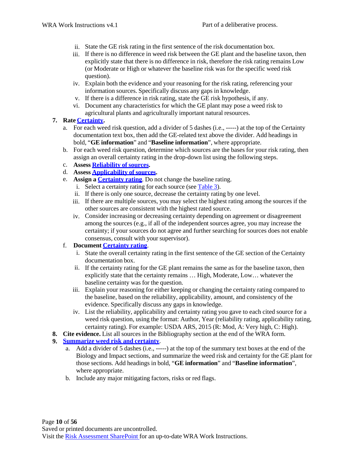- ii. State the GE risk rating in the first sentence of the risk documentation box.
- iii. If there is no difference in weed risk between the GE plant and the baseline taxon, then explicitly state that there is no difference in risk, therefore the risk rating remains Low (or Moderate or High or whatever the baseline risk was for the specific weed risk question).
- iv. Explain both the evidence and your reasoning for the risk rating, referencing your information sources. Specifically discuss any gaps in knowledge.
- v. If there is a difference in risk rating, state the GE risk hypothesis, if any.
- vi. Document any characteristics for which the GE plant may pose a weed risk to agricultural plants and agriculturally important natural resources.

#### **7. Rate Certainty.**

- a. For each weed risk question, add a divider of 5 dashes (i.e., -----) at the top of the Certainty documentation text box, then add the GE-related text above the divider. Add headings in bold, "**GE information**" and "**Baseline information**", where appropriate.
- b. For each weed risk question, determine which sources are the bases for your risk rating, then assign an overall certainty rating in the drop-down list using the following steps.
- **Assess Reliability of sources.** c.
- **Assess Applicability of sources.** d.
- **Assign a Certainty rating**. Do not change the baseline rating. e.
	- i. Select a certainty rating for each source (see Table 3).
	- ii. If there is only one source, decrease the certainty rating by one level.
	- iii. If there are multiple sources, you may select the highest rating among the sources if the other sources are consistent with the highest rated source.
	- iv. Consider increasing or decreasing certainty depending on agreement or disagreement among the sources (e.g., if all of the independent sources agree, you may increase the certainty; if your sources do not agree and further searching for sources does not enable consensus, consult with your supervisor).

#### f. **Document Certainty rating**.

- i. State the overall certainty rating in the first sentence of the GE section of the Certainty documentation box.
- ii. If the certainty rating for the GE plant remains the same as for the baseline taxon, then explicitly state that the certainty remains … High, Moderate, Low… whatever the baseline certainty was for the question.
- iii. Explain your reasoning for either keeping or changing the certainty rating compared to the baseline, based on the reliability, applicability, amount, and consistency of the evidence. Specifically discuss any gaps in knowledge.
- iv. List the reliability, applicability and certainty rating you gave to each cited source for a weed risk question, using the format: Author, Year (reliability rating, applicability rating, certainty rating). For example: USDA ARS, 2015 (R: Mod, A: Very high, C: High).
- **8. Cite evidence.** List all sources in the Bibliography section at the end of the WRA form.

#### **9. Summarize weed risk and certainty**.

- a. Add a divider of 5 dashes (i.e., -----) at the top of the summary text boxes at the end of the Biology and Impact sections, and summarize the weed risk and certainty for the GE plant for those sections. Add headings in bold, "**GE information**" and "**Baseline information**", where appropriate.
- b. Include any major mitigating factors, risks or red flags.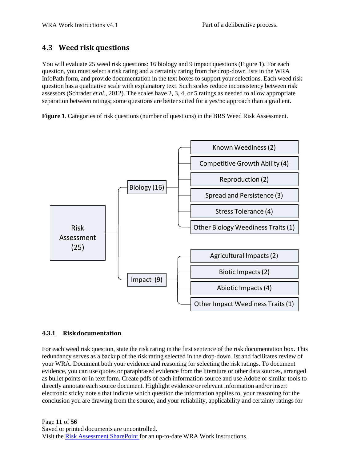#### **4.3 Weed risk questions**

You will evaluate 25 weed risk questions: 16 biology and 9 impact questions (Figure 1). For each question, you must select a risk rating and a certainty rating from the drop-down lists in the WRA InfoPath form, and provide documentation in the text boxes to support your selections. Each weed risk question has a qualitative scale with explanatory text. Such scales reduce inconsistency between risk assessors (Schrader *et al.*, 2012). The scales have 2, 3, 4, or 5 ratings as needed to allow appropriate separation between ratings; some questions are better suited for a yes/no approach than a gradient.

**Figure 1**. Categories of risk questions (number of questions) in the BRS Weed Risk Assessment.



#### **4.3.1 Riskdocumentation**

For each weed risk question, state the risk rating in the first sentence of the risk documentation box. This redundancy serves as a backup of the risk rating selected in the drop-down list and facilitates review of your WRA. Document both your evidence and reasoning for selecting the risk ratings. To document evidence, you can use quotes or paraphrased evidence from the literature or other data sources, arranged as bullet points or in text form. Create pdfs of each information source and use Adobe or similar tools to directly annotate each source document. Highlight evidence or relevant information and/or insert electronic sticky note s that indicate which question the information applies to, your reasoning for the conclusion you are drawing from the source, and your reliability, applicability and certainty ratings for

Page **11** of **56** Saved or printed documents are uncontrolled. Visit the Risk Assessment SharePoint for an up-to-date WRA Work Instructions.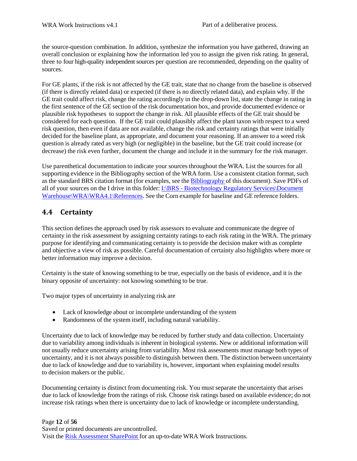the source-question combination. In addition, synthesize the information you have gathered, drawing an overall conclusion or explaining how the information led you to assign the given risk rating. In general, three to four high-quality independent sources per question are recommended, depending on the quality of sources.

For GE plants, if the risk is not affected by the GE trait, state that no change from the baseline is observed (if there is directly related data) or expected (if there is no directly related data), and explain why. If the GE trait could affect risk, change the rating accordingly in the drop-down list, state the change in rating in the first sentence of the GE section of the risk documentation box, and provide documented evidence or plausible risk hypotheses to support the change in risk. All plausible effects of the GE trait should be considered for each question. If the GE trait could plausibly affect the plant taxon with respect to a weed risk question, then even if data are not available, change the risk and certainty ratings that were initially decided for the baseline plant, as appropriate, and document your reasoning. If an answer to a weed risk question is already rated as very high (or negligible) in the baseline, but the GE trait could increase (or decrease) the risk even further, document the change and include it in the summary for the risk manager.

Use parenthetical documentation to indicate your sources throughout the WRA. List the sources for all supporting evidence in the Bibliography section of the WRA form. Use a consistent citation format, such as the standard BRS citation format (for examples, see the Bibliography of this document). Save PDFs of all of your sources on the I drive in this folder:  $I:\Bbb R$ S - Biotechnology Regulatory Services\Document Warehouse\WRA\WRA4.1\References. See the Corn example for baseline and GE reference folders.

### **4.4 Certainty**

This section defines the approach used by risk assessors to evaluate and communicate the degree of certainty in the risk assessment by assigning certainty ratings to each risk rating in the WRA. The primary purpose for identifying and communicating certainty is to provide the decision maker with as complete and objective a view of risk as possible. Careful documentation of certainty also highlights where more or better information may improve a decision.

Certainty is the state of knowing something to be true, especially on the basis of evidence, and it is the binary opposite of uncertainty: not knowing something to be true.

Two major types of uncertainty in analyzing risk are

- Lack of knowledge about or incomplete understanding of the system
- Randomness of the system itself, including natural variability.

Uncertainty due to lack of knowledge may be reduced by further study and data collection. Uncertainty due to variability among individuals is inherent in biological systems. New or additional information will not usually reduce uncertainty arising from variability. Most risk assessments must manage both types of uncertainty, and it is not always possible to distinguish between them. The distinction between uncertainty due to lack of knowledge and due to variability is, however, important when explaining model results to decision makers or the public.

Documenting certainty is distinct from documenting risk. You must separate the uncertainty that arises due to lack of knowledge from the ratings of risk. Choose risk ratings based on available evidence; do not increase risk ratings when there is uncertainty due to lack of knowledge or incomplete understanding.

#### Page **12** of **56** Saved or printed documents are uncontrolled. Visit the Risk Assessment SharePoint for an up-to-date WRA Work Instructions.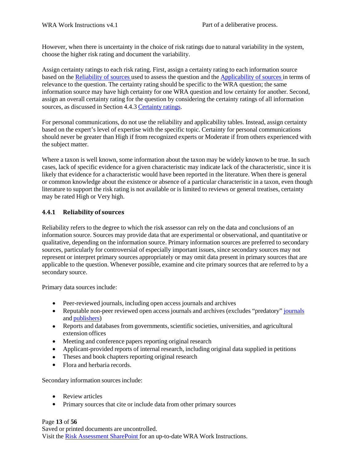However, when there is uncertainty in the choice of risk ratings due to natural variability in the system, choose the higher risk rating and document the variability.

Assign certainty ratings to each risk rating. First, assign a certainty rating to each information source based on the Reliability of sources used to assess the question and the Applicability of sources in terms of relevance to the question. The certainty rating should be specific to the WRA question; the same information source may have high certainty for one WRA question and low certainty for another. Second, assign an overall certainty rating for the question by considering the certainty ratings of all information sources, as discussed in Section 4.4.3 Certainty ratings.

For personal communications, do not use the reliability and applicability tables. Instead, assign certainty based on the expert's level of expertise with the specific topic. Certainty for personal communications should never be greater than High if from recognized experts or Moderate if from others experienced with the subject matter.

Where a taxon is well known, some information about the taxon may be widely known to be true. In such cases, lack of specific evidence for a given characteristic may indicate lack of the characteristic, since it is likely that evidence for a characteristic would have been reported in the literature. When there is general or common knowledge about the existence or absence of a particular characteristic in a taxon, even though literature to support the risk rating is not available or is limited to reviews or general treatises, certainty may be rated High or Very high.

#### **4.4.1 Reliability of sources**

Reliability refers to the degree to which the risk assessor can rely on the data and conclusions of an information source. Sources may provide data that are experimental or observational, and quantitative or qualitative, depending on the information source. Primary information sources are preferred to secondary sources, particularly for controversial of especially important issues, since secondary sources may not represent or interpret primary sources appropriately or may omit data present in primary sources that are applicable to the question. Whenever possible, examine and cite primary sources that are referred to by a secondary source.

Primary data sources include:

- Peer-reviewed journals, including open access journals and archives
- Reputable non-peer reviewed open access journals and archives (excludes "predatory" journals and publishers)
- Reports and databases from governments, scientific societies, universities, and agricultural extension offices
- Meeting and conference papers reporting original research
- Applicant-provided reports of internal research, including original data supplied in petitions
- Theses and book chapters reporting original research
- Flora and herbaria records.

Secondary information sources include:

- Review articles
- Primary sources that cite or include data from other primary sources

Page **13** of **56** Saved or printed documents are uncontrolled. Visit the Risk Assessment SharePoint for an up-to-date WRA Work Instructions.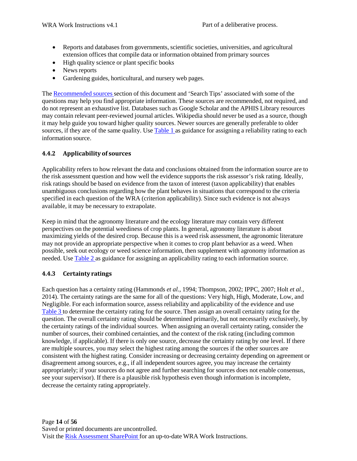- Reports and databases from governments, scientific societies, universities, and agricultural extension offices that compile data or information obtained from primary sources
- High quality science or plant specific books
- News reports
- Gardening guides, horticultural, and nursery web pages. •

The Recommended sources section of this document and 'Search Tips' associated with some of the questions may help you find appropriate information. These sources are recommended, not required, and do not represent an exhaustive list. Databases such as Google Scholar and the APHIS Library resources may contain relevant peer-reviewed journal articles. Wikipedia should never be used as a source, though it may help guide you toward higher quality sources. Newer sources are generally preferable to older sources, if they are of the same quality. Use Table 1 as guidance for assigning a reliability rating to each information source.

#### **4.4.2 Applicability of sources**

Applicability refers to how relevant the data and conclusions obtained from the information source are to the risk assessment question and how well the evidence supports the risk assessor's risk rating. Ideally, risk ratings should be based on evidence from the taxon of interest (taxon applicability) that enables unambiguous conclusions regarding how the plant behaves in situations that correspond to the criteria specified in each question of the WRA (criterion applicability). Since such evidence is not always available, it may be necessary to extrapolate.

Keep in mind that the agronomy literature and the ecology literature may contain very different perspectives on the potential weediness of crop plants. In general, agronomy literature is about maximizing yields of the desired crop. Because this is a weed risk assessment, the agronomic literature may not provide an appropriate perspective when it comes to crop plant behavior as a weed. When possible, seek out ecology or weed science information, then supplement with agronomy information as needed. Use Table 2 as guidance for assigning an applicability rating to each information source.

#### **4.4.3 Certainty ratings**

Each question has a certainty rating (Hammonds *et al.*, 1994; Thompson, 2002; IPPC, 2007; Holt *et al.*, 2014). The certainty ratings are the same for all of the questions: Very high, High, Moderate, Low, and Negligible. For each information source, assess reliability and applicability of the evidence and use Table 3 to determine the certainty rating for the source. Then assign an overall certainty rating for the question. The overall certainty rating should be determined primarily, but not necessarily exclusively, by the certainty ratings of the individual sources. When assigning an overall certainty rating, consider the number of sources, their combined certainties, and the context of the risk rating (including common knowledge, if applicable). If there is only one source, decrease the certainty rating by one level. If there are multiple sources, you may select the highest rating among the sources if the other sources are consistent with the highest rating. Consider increasing or decreasing certainty depending on agreement or disagreement among sources, e.g., if all independent sources agree, you may increase the certainty appropriately; if your sources do not agree and further searching for sources does not enable consensus, see your supervisor). If there is a plausible risk hypothesis even though information is incomplete, decrease the certainty rating appropriately.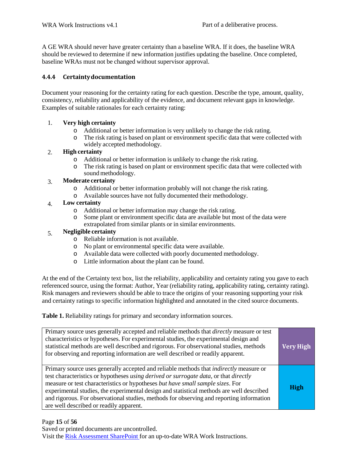A GE WRA should never have greater certainty than a baseline WRA. If it does, the baseline WRA should be reviewed to determine if new information justifies updating the baseline. Once completed, baseline WRAs must not be changed without supervisor approval.

#### **4.4.4 Certaintydocumentation**

Document your reasoning for the certainty rating for each question. Describe the type, amount, quality, consistency, reliability and applicability of the evidence, and document relevant gaps in knowledge. Examples of suitable rationales for each certainty rating:

#### 1. **Very high certainty**

- $\circ$  Additional or better information is very unlikely to change the risk rating.<br> $\circ$  The risk rating is based on plant or environment specific data that were co
- The risk rating is based on plant or environment specific data that were collected with widely accepted methodology.

#### **High certainty** 2.

- o Additional or better information is unlikely to change the risk rating.
- o The risk rating is based on plant or environment specific data that were collected with sound methodology.

#### **Moderate certainty** 3.

- o Additional or better information probably will not change the risk rating.
- o Available sources have not fully documented their methodology.

#### **Low certainty** 4.

- o Additional or better information may change the risk rating.
- Some plant or environment specific data are available but most of the data were extrapolated from similar plants or in similar environments.

#### **Negligible certainty** 5.

- o Reliable information is not available.
- o No plant or environmental specific data were available.
- o Available data were collected with poorly documented methodology.
- o Little information about the plant can be found.

At the end of the Certainty text box, list the reliability, applicability and certainty rating you gave to each referenced source, using the format: Author, Year (reliability rating, applicability rating, certainty rating). Risk managers and reviewers should be able to trace the origins of your reasoning supporting your risk and certainty ratings to specific information highlighted and annotated in the cited source documents.

**Table 1.** Reliability ratings for primary and secondary information sources.

| Primary source uses generally accepted and reliable methods that <i>directly</i> measure or test<br>characteristics or hypotheses. For experimental studies, the experimental design and<br>statistical methods are well described and rigorous. For observational studies, methods<br>for observing and reporting information are well described or readily apparent.                                                                                                                                     | <b>Very High</b> |
|------------------------------------------------------------------------------------------------------------------------------------------------------------------------------------------------------------------------------------------------------------------------------------------------------------------------------------------------------------------------------------------------------------------------------------------------------------------------------------------------------------|------------------|
| Primary source uses generally accepted and reliable methods that <i>indirectly</i> measure or<br>test characteristics or hypotheses using derived or surrogate data, or that directly<br>measure or test characteristics or hypotheses but have small sample sizes. For<br>experimental studies, the experimental design and statistical methods are well described<br>and rigorous. For observational studies, methods for observing and reporting information<br>are well described or readily apparent. | <b>High</b>      |

#### Page **15** of **56**

Saved or printed documents are uncontrolled.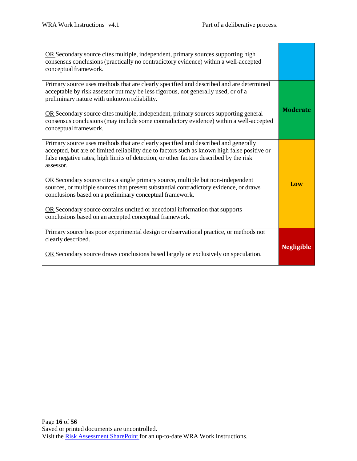m.

| OR Secondary source cites multiple, independent, primary sources supporting high<br>consensus conclusions (practically no contradictory evidence) within a well-accepted<br>conceptual framework.                                                                                                                                                                                                                                                                                                                                                                                                                                                                           |                   |
|-----------------------------------------------------------------------------------------------------------------------------------------------------------------------------------------------------------------------------------------------------------------------------------------------------------------------------------------------------------------------------------------------------------------------------------------------------------------------------------------------------------------------------------------------------------------------------------------------------------------------------------------------------------------------------|-------------------|
| Primary source uses methods that are clearly specified and described and are determined<br>acceptable by risk assessor but may be less rigorous, not generally used, or of a<br>preliminary nature with unknown reliability.<br>OR Secondary source cites multiple, independent, primary sources supporting general<br>consensus conclusions (may include some contradictory evidence) within a well-accepted<br>conceptual framework.                                                                                                                                                                                                                                      | <b>Moderate</b>   |
| Primary source uses methods that are clearly specified and described and generally<br>accepted, but are of limited reliability due to factors such as known high false positive or<br>false negative rates, high limits of detection, or other factors described by the risk<br>assessor.<br>OR Secondary source cites a single primary source, multiple but non-independent<br>sources, or multiple sources that present substantial contradictory evidence, or draws<br>conclusions based on a preliminary conceptual framework.<br>OR Secondary source contains uncited or anecdotal information that supports<br>conclusions based on an accepted conceptual framework. | Low               |
| Primary source has poor experimental design or observational practice, or methods not<br>clearly described.<br>OR Secondary source draws conclusions based largely or exclusively on speculation.                                                                                                                                                                                                                                                                                                                                                                                                                                                                           | <b>Negligible</b> |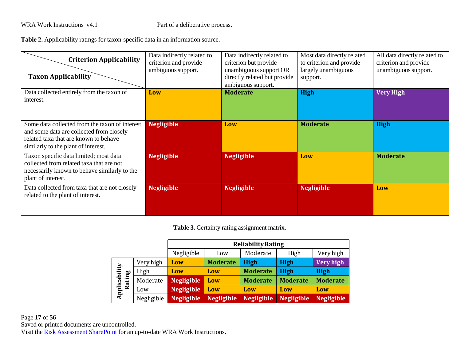**Table 2.** Applicability ratings for taxon-specific data in an information source.

| <b>Criterion Applicability</b><br><b>Taxon Applicability</b>                                                                                                               | Data indirectly related to<br>criterion and provide<br>ambiguous support. | Data indirectly related to<br>criterion but provide<br>unambiguous support OR<br>directly related but provide<br>ambiguous support. | Most data directly related<br>to criterion and provide<br>largely unambiguous<br>support. | All data directly related to<br>criterion and provide<br>unambiguous support. |
|----------------------------------------------------------------------------------------------------------------------------------------------------------------------------|---------------------------------------------------------------------------|-------------------------------------------------------------------------------------------------------------------------------------|-------------------------------------------------------------------------------------------|-------------------------------------------------------------------------------|
| Data collected entirely from the taxon of<br>interest.                                                                                                                     | Low                                                                       | <b>Moderate</b>                                                                                                                     | <b>High</b>                                                                               | <b>Very High</b>                                                              |
| Some data collected from the taxon of interest<br>and some data are collected from closely<br>related taxa that are known to behave<br>similarly to the plant of interest. | <b>Negligible</b>                                                         | Low                                                                                                                                 | <b>Moderate</b>                                                                           | <b>High</b>                                                                   |
| Taxon specific data limited; most data<br>collected from related taxa that are not<br>necessarily known to behave similarly to the<br>plant of interest.                   | <b>Negligible</b>                                                         | <b>Negligible</b>                                                                                                                   | Low                                                                                       | <b>Moderate</b>                                                               |
| Data collected from taxa that are not closely<br>related to the plant of interest.                                                                                         | <b>Negligible</b>                                                         | <b>Negligible</b>                                                                                                                   | <b>Negligible</b>                                                                         | Low                                                                           |

**Table 3.** Certainty rating assignment matrix.

|                            |            | <b>Reliability Rating</b> |                   |                   |                   |                   |
|----------------------------|------------|---------------------------|-------------------|-------------------|-------------------|-------------------|
|                            |            | Negligible                | Low               | Moderate          | High              | Very high         |
|                            | Very high  | Low                       | <b>Moderate</b>   | <b>High</b>       | <b>High</b>       | <b>Very high</b>  |
|                            | High       | Low                       | Low               | <b>Moderate</b>   | <b>High</b>       | <b>High</b>       |
| ting                       | Moderate   | <b>Negligible</b>         | Low               | <b>Moderate</b>   | <b>Moderate</b>   | <b>Moderate</b>   |
| Applicability<br><b>Ra</b> | Low        | <b>Negligible</b>         | Low               | Low               | Low               | Low               |
|                            | Negligible | <b>Negligible</b>         | <b>Negligible</b> | <b>Negligible</b> | <b>Negligible</b> | <b>Negligible</b> |

Page **17** of **56** Saved or printed documents are uncontrolled. Visit the Risk Assessment SharePoint for an up-to-date WRA Work Instructions.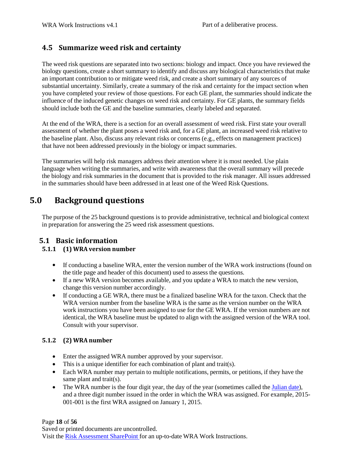### **4.5 Summarize weed risk and certainty**

The weed risk questions are separated into two sections: biology and impact. Once you have reviewed the biology questions, create a short summary to identify and discuss any biological characteristics that make an important contribution to or mitigate weed risk, and create a short summary of any sources of substantial uncertainty. Similarly, create a summary of the risk and certainty for the impact section when you have completed your review of those questions. For each GE plant, the summaries should indicate the influence of the induced genetic changes on weed risk and certainty. For GE plants, the summary fields should include both the GE and the baseline summaries, clearly labeled and separated.

At the end of the WRA, there is a section for an overall assessment of weed risk. First state your overall assessment of whether the plant poses a weed risk and, for a GE plant, an increased weed risk relative to the baseline plant. Also, discuss any relevant risks or concerns (e.g., effects on management practices) that have not been addressed previously in the biology or impact summaries.

The summaries will help risk managers address their attention where it is most needed. Use plain language when writing the summaries, and write with awareness that the overall summary will precede the biology and risk summaries in the document that is provided to the risk manager. All issues addressed in the summaries should have been addressed in at least one of the Weed Risk Questions.

### **5.0 Background questions**

The purpose of the 25 background questions is to provide administrative, technical and biological context in preparation for answering the 25 weed risk assessment questions.

#### **5.1 Basic information**

#### **5.1.1 (1) WRA version number**

- If conducting a baseline WRA, enter the version number of the WRA work instructions (found on the title page and header of this document) used to assess the questions.
- If a new WRA version becomes available, and you update a WRA to match the new version, change this version number accordingly.
- If conducting a GE WRA, there must be a finalized baseline WRA for the taxon. Check that the WRA version number from the baseline WRA is the same as the version number on the WRA work instructions you have been assigned to use for the GE WRA. If the version numbers are not identical, the WRA baseline must be updated to align with the assigned version of the WRA tool. Consult with your supervisor.

#### **5.1.2 (2) WRA number**

- Enter the assigned WRA number approved by your supervisor.
- This is a unique identifier for each combination of plant and trait(s).
- Each WRA number may pertain to multiple notifications, permits, or petitions, if they have the same plant and trait(s).
- The WRA number is the four digit year, the day of the year (sometimes called the Julian date), and a three digit number issued in the order in which the WRA was assigned. For example, 2015- 001-001 is the first WRA assigned on January 1, 2015. •

Page **18** of **56**

Saved or printed documents are uncontrolled.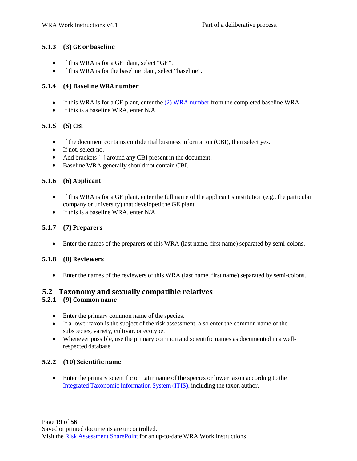#### **5.1.3 (3) GE or baseline**

- If this WRA is for a GE plant, select "GE".
- If this WRA is for the baseline plant, select "baseline".

#### **5.1.4 (4) Baseline WRA number**

- If this WRA is for a GE plant, enter the (2) WRA number from the completed baseline WRA.
- If this is a baseline WRA, enter N/A.

#### **5.1.5 (5) CBI**

- If the document contains confidential business information (CBI), then select yes.
- If not, select no.
- Add brackets [ ] around any CBI present in the document.
- Baseline WRA generally should not contain CBI.

#### **5.1.6 (6)Applicant**

- If this WRA is for a GE plant, enter the full name of the applicant's institution (e.g., the particular company or university) that developed the GE plant.
- If this is a baseline WRA, enter N/A.

#### **5.1.7 (7) Preparers**

• Enter the names of the preparers of this WRA (last name, first name) separated by semi-colons.

#### **5.1.8 (8)Reviewers**

• Enter the names of the reviewers of this WRA (last name, first name) separated by semi-colons.

#### **5.2 Taxonomy and sexually compatible relatives**

#### **5.2.1 (9) Common name**

- Enter the primary common name of the species.
- If a lower taxon is the subject of the risk assessment, also enter the common name of the subspecies, variety, cultivar, or ecotype.
- Whenever possible, use the primary common and scientific names as documented in a wellrespected database.

#### **5.2.2 (10) Scientific name**

• Enter the primary scientific or Latin name of the species or lower taxon according to the Integrated Taxonomic Information System (ITIS), including the taxon author.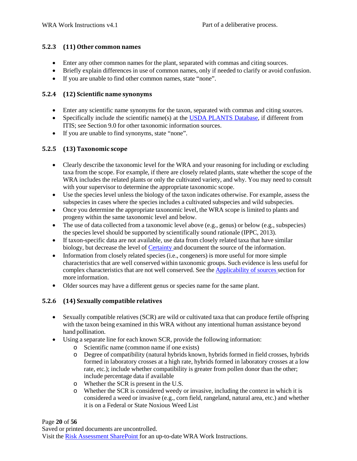#### **5.2.3 (11) Other common names**

- Enter any other common names for the plant, separated with commas and citing sources.
- Briefly explain differences in use of common names, only if needed to clarify or avoid confusion.
- If you are unable to find other common names, state "none".

#### **5.2.4 (12) Scientific name synonyms**

- Enter any scientific name synonyms for the taxon, separated with commas and citing sources.
- Specifically include the scientific name(s) at the **USDA PLANTS Database**, if different from ITIS; see Section 9.0 for other taxonomic information sources.
- If you are unable to find synonyms, state "none".

#### **5.2.5 (13) Taxonomic scope**

- Clearly describe the taxonomic level for the WRA and your reasoning for including or excluding taxa from the scope. For example, if there are closely related plants, state whether the scope of the WRA includes the related plants or only the cultivated variety, and why. You may need to consult with your supervisor to determine the appropriate taxonomic scope.
- Use the species level unless the biology of the taxon indicates otherwise. For example, assess the subspecies in cases where the species includes a cultivated subspecies and wild subspecies.
- Once you determine the appropriate taxonomic level, the WRA scope is limited to plants and progeny within the same taxonomic level and below.
- The use of data collected from a taxonomic level above (e.g., genus) or below (e.g., subspecies) the species level should be supported by scientifically sound rationale (IPPC, 2013).
- If taxon-specific data are not available, use data from closely related taxa that have similar biology, but decrease the level of Certainty and document the source of the information.
- Information from closely related species (i.e., congeners) is more useful for more simple characteristics that are well conserved within taxonomic groups. Such evidence is less useful for complex characteristics that are not well conserved. See the Applicability of sources section for more information. •
- Older sources may have a different genus or species name for the same plant.

#### **5.2.6 (14) Sexually compatible relatives**

- Sexually compatible relatives (SCR) are wild or cultivated taxa that can produce fertile offspring with the taxon being examined in this WRA without any intentional human assistance beyond hand pollination.
- Using a separate line for each known SCR, provide the following information:
	- o Scientific name (common name if one exists)
	- o Degree of compatibility (natural hybrids known, hybrids formed in field crosses, hybrids formed in laboratory crosses at a high rate, hybrids formed in laboratory crosses at a low rate, etc.); include whether compatibility is greater from pollen donor than the other; include percentage data if available
	- $\circ$  Whether the SCR is present in the U.S.<br>  $\circ$  Whether the SCR is considered weedy
	- Whether the SCR is considered weedy or invasive, including the context in which it is considered a weed or invasive (e.g., corn field, rangeland, natural area, etc.) and whether it is on a Federal or State Noxious Weed List

Page **20** of **56**

Saved or printed documents are uncontrolled.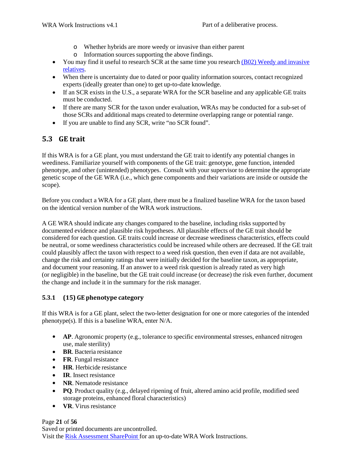- o Whether hybrids are more weedy or invasive than either parent
- o Information sources supporting the above findings.
- You may find it useful to research SCR at the same time you research (B02) Weedy and invasive relatives.
- When there is uncertainty due to dated or poor quality information sources, contact recognized experts (ideally greater than one) to get up-to-date knowledge.
- If an SCR exists in the U.S., a separate WRA for the SCR baseline and any applicable GE traits must be conducted.
- If there are many SCR for the taxon under evaluation, WRAs may be conducted for a sub-set of those SCRs and additional maps created to determine overlapping range or potential range.
- If you are unable to find any SCR, write "no SCR found".

#### **5.3 GE trait**

If this WRA is for a GE plant, you must understand the GE trait to identify any potential changes in weediness. Familiarize yourself with components of the GE trait: genotype, gene function, intended phenotype, and other (unintended) phenotypes. Consult with your supervisor to determine the appropriate genetic scope of the GE WRA (i.e., which gene components and their variations are inside or outside the scope).

Before you conduct a WRA for a GE plant, there must be a finalized baseline WRA for the taxon based on the identical version number of the WRA work instructions.

A GE WRA should indicate any changes compared to the baseline, including risks supported by documented evidence and plausible risk hypotheses. All plausible effects of the GE trait should be considered for each question. GE traits could increase or decrease weediness characteristics, effects could be neutral, or some weediness characteristics could be increased while others are decreased. If the GE trait could plausibly affect the taxon with respect to a weed risk question, then even if data are not available, change the risk and certainty ratings that were initially decided for the baseline taxon, as appropriate, and document your reasoning. If an answer to a weed risk question is already rated as very high (or negligible) in the baseline, but the GE trait could increase (or decrease) the risk even further, document the change and include it in the summary for the risk manager.

#### **5.3.1 (15) GE phenotype category**

If this WRA is for a GE plant, select the two-letter designation for one or more categories of the intended phenotype(s). If this is a baseline WRA, enter N/A.

- **AP.** Agronomic property (e.g., tolerance to specific environmental stresses, enhanced nitrogen use, male sterility)
- **BR**. Bacteria resistance •
- FR. Fungal resistance
- **HR**. Herbicide resistance •
- **IR**. Insect resistance
- NR. Nematode resistance
- **PQ**. Product quality (e.g., delayed ripening of fruit, altered amino acid profile, modified seed storage proteins, enhanced floral characteristics)
- **VR**. Virus resistance •

Page **21** of **56** Saved or printed documents are uncontrolled. Visit the Risk Assessment SharePoint for an up-to-date WRA Work Instructions.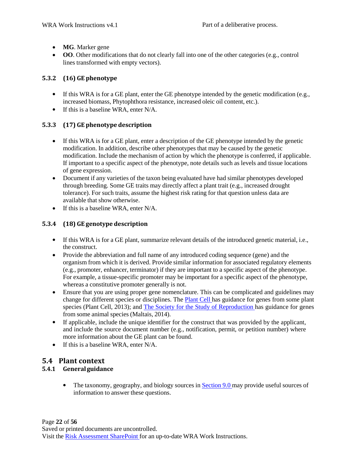- **MG**. Marker gene
- **OO**. Other modifications that do not clearly fall into one of the other categories (e.g., control lines transformed with empty vectors).

#### **5.3.2 (16) GE phenotype**

- If this WRA is for a GE plant, enter the GE phenotype intended by the genetic modification (e.g., increased biomass, Phytophthora resistance, increased oleic oil content, etc.).
- If this is a baseline WRA, enter N/A.

#### **5.3.3 (17) GE phenotype description**

- If this WRA is for a GE plant, enter a description of the GE phenotype intended by the genetic modification. In addition, describe other phenotypes that may be caused by the genetic modification. Include the mechanism of action by which the phenotype is conferred, if applicable. If important to a specific aspect of the phenotype, note details such as levels and tissue locations of gene expression.
- Document if any varieties of the taxon being evaluated have had similar phenotypes developed through breeding. Some GE traits may directly affect a plant trait (e.g., increased drought tolerance). For such traits, assume the highest risk rating for that question unless data are available that show otherwise.
- If this is a baseline WRA, enter N/A.

#### **5.3.4 (18) GE genotype description**

- If this WRA is for a GE plant, summarize relevant details of the introduced genetic material, i.e., the construct.
- Provide the abbreviation and full name of any introduced coding sequence (gene) and the organism from which it is derived. Provide similar information for associated regulatory elements (e.g., promoter, enhancer, terminator) if they are important to a specific aspect of the phenotype. For example, a tissue-specific promoter may be important for a specific aspect of the phenotype, whereas a constitutive promoter generally is not.
- Ensure that you are using proper gene nomenclature. This can be complicated and guidelines may change for different species or disciplines. The Plant Cell has guidance for genes from some plant species (Plant Cell, 2013); and The Society for the Study of Reproduction has guidance for genes from some animal species (Maltais, 2014).
- If applicable, include the unique identifier for the construct that was provided by the applicant, and include the source document number (e.g., notification, permit, or petition number) where more information about the GE plant can be found.
- If this is a baseline WRA, enter N/A.

#### **5.4 Plant context**

#### **5.4.1 Generalguidance**

• The taxonomy, geography, and biology sources in Section 9.0 may provide useful sources of information to answer these questions.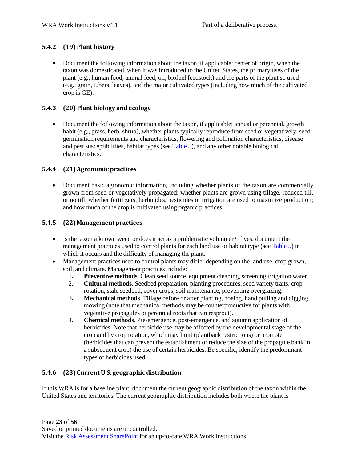#### **5.4.2 (19) Plant history**

• Document the following information about the taxon, if applicable: center of origin, when the taxon was domesticated, when it was introduced to the United States, the primary uses of the plant (e.g., human food, animal feed, oil, biofuel feedstock) and the parts of the plant so used (e.g., grain, tubers, leaves), and the major cultivated types (including how much of the cultivated crop is GE).

#### **5.4.3 (20) Plant biology and ecology**

• Document the following information about the taxon, if applicable: annual or perennial, growth habit (e.g., grass, herb, shrub), whether plants typically reproduce from seed or vegetatively, seed germination requirements and characteristics, flowering and pollination characteristics, disease and pest susceptibilities, habitat types (see Table 5), and any other notable biological characteristics.

#### **5.4.4 (21)Agronomic practices**

• Document basic agronomic information, including whether plants of the taxon are commercially grown from seed or vegetatively propagated; whether plants are grown using tillage, reduced till, or no till; whether fertilizers, herbicides, pesticides or irrigation are used to maximize production; and how much of the crop is cultivated using organic practices.

#### **5.4.5 (22) Management practices**

- Is the taxon a known weed or does it act as a problematic volunteer? If yes, document the management practices used to control plants for each land use or habitat type (see Table 5) in which it occurs and the difficulty of managing the plant.
- Management practices used to control plants may differ depending on the land use, crop grown, soil, and climate. Management practices include:
	- 1. **Preventive methods**. Clean seed source, equipment cleaning, screening irrigation water.
	- 2. **Cultural methods**. Seedbed preparation, planting procedures, seed variety traits, crop rotation, stale seedbed, cover crops, soil maintenance, preventing overgrazing.
	- **Mechanical methods**. Tillage before or after planting, hoeing, hand pulling and digging, mowing (note that mechanical methods may be counterproductive for plants with vegetative propagules or perennial roots that can resprout). 3.
	- **Chemical methods**. Pre-emergence, post-emergence, and autumn application of herbicides. Note that herbicide use may be affected by the developmental stage of the crop and by crop rotation, which may limit (plantback restrictions) or promote (herbicides that can prevent the establishment or reduce the size of the propagule bank in a subsequent crop) the use of certain herbicides. Be specific; identify the predominant types of herbicides used. 4.

#### **5.4.6 (23) CurrentU.S. geographic distribution**

If this WRA is for a baseline plant, document the current geographic distribution of the taxon within the United States and territories. The current geographic distribution includes both where the plant is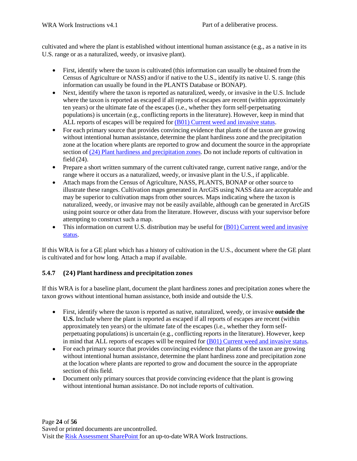cultivated and where the plant is established without intentional human assistance (e.g., as a native in its U.S. range or as a naturalized, weedy, or invasive plant).

- First, identify where the taxon is cultivated (this information can usually be obtained from the Census of Agriculture or NASS) and/or if native to the U.S., identify its native U. S. range (this information can usually be found in the PLANTS Database or BONAP).
- Next, identify where the taxon is reported as naturalized, weedy, or invasive in the U.S. Include where the taxon is reported as escaped if all reports of escapes are recent (within approximately ten years) or the ultimate fate of the escapes (i.e., whether they form self-perpetuating populations) is uncertain (e.g., conflicting reports in the literature). However, keep in mind that ALL reports of escapes will be required for  $(B01)$  Current weed and invasive status. •
- For each primary source that provides convincing evidence that plants of the taxon are growing without intentional human assistance, determine the plant hardiness zone and the precipitation zone at the location where plants are reported to grow and document the source in the appropriate section of (24) Plant hardiness and precipitation zones. Do not include reports of cultivation in field (24).  $\bullet$
- Prepare a short written summary of the current cultivated range, current native range, and/or the range where it occurs as a naturalized, weedy, or invasive plant in the U.S., if applicable.
- Attach maps from the Census of Agriculture, NASS, PLANTS, BONAP or other source to illustrate these ranges. Cultivation maps generated in ArcGIS using NASS data are acceptable and may be superior to cultivation maps from other sources. Maps indicating where the taxon is naturalized, weedy, or invasive may not be easily available, although can be generated in ArcGIS using point source or other data from the literature. However, discuss with your supervisor before attempting to construct such a map.
- This information on current U.S. distribution may be useful for (B01) Current weed and invasive status.

If this WRA is for a GE plant which has a history of cultivation in the U.S., document where the GE plant is cultivated and for how long. Attach a map if available.

#### **5.4.7 (24) Plant hardiness and precipitation zones**

If this WRA is for a baseline plant, document the plant hardiness zones and precipitation zones where the taxon grows without intentional human assistance, both inside and outside the U.S.

- First, identify where the taxon is reported as native, naturalized, weedy, or invasive **outside the U.S.** Include where the plant is reported as escaped if all reports of escapes are recent (within approximately ten years) or the ultimate fate of the escapes (i.e., whether they form selfperpetuating populations) is uncertain (e.g., conflicting reports in the literature). However, keep in mind that ALL reports of escapes will be required for (B01) Current weed and invasive status.
- For each primary source that provides convincing evidence that plants of the taxon are growing without intentional human assistance, determine the plant hardiness zone and precipitation zone at the location where plants are reported to grow and document the source in the appropriate section of this field. •
- Document only primary sources that provide convincing evidence that the plant is growing without intentional human assistance. Do not include reports of cultivation.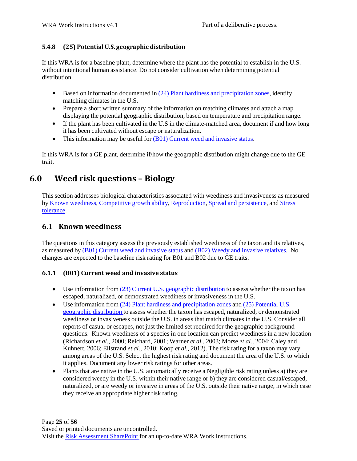#### **5.4.8 (25) PotentialU.S. geographic distribution**

If this WRA is for a baseline plant, determine where the plant has the potential to establish in the U.S. without intentional human assistance. Do not consider cultivation when determining potential distribution.

- Based on information documented in  $(24)$  Plant hardiness and precipitation zones, identify matching climates in the U.S.
- Prepare a short written summary of the information on matching climates and attach a map displaying the potential geographic distribution, based on temperature and precipitation range.
- If the plant has been cultivated in the U.S in the climate-matched area, document if and how long it has been cultivated without escape or naturalization.
- This information may be useful for (B01) Current weed and invasive status.

If this WRA is for a GE plant, determine if/how the geographic distribution might change due to the GE trait.

### **6.0 Weed risk questions – Biology**

This section addresses biological characteristics associated with weediness and invasiveness as measured by Known weediness, Competitive growth ability, Reproduction, Spread and persistence, and Stress tolerance.

### **6.1 Known weediness**

The questions in this category assess the previously established weediness of the taxon and its relatives, as measured by (B01) Current weed and invasive status and (B02) Weedy and invasive relatives. No changes are expected to the baseline risk rating for B01 and B02 due to GE traits.

#### **6.1.1 (B01) Current weed and invasive status**

- Use information from (23) Current U.S. geographic distribution to assess whether the taxon has escaped, naturalized, or demonstrated weediness or invasiveness in the U.S.
- Use information from (24) Plant hardiness and precipitation zones and (25) Potential U.S. geographic distribution to assess whether the taxon has escaped, naturalized, or demonstrated weediness or invasiveness outside the U.S. in areas that match climates in the U.S. Consider all reports of casual or escapes, not just the limited set required for the geographic background questions. Known weediness of a species in one location can predict weediness in a new location (Richardson *et al.*, 2000; Reichard, 2001; Warner *et al.*, 2003; Morse *et al.*, 2004; Caley and Kuhnert, 2006; Ellstrand *et al.*, 2010; Koop *et al.*, 2012). The risk rating for a taxon may vary among areas of the U.S. Select the highest risk rating and document the area of the U.S. to which it applies. Document any lower risk ratings for other areas.
- Plants that are native in the U.S. automatically receive a Negligible risk rating unless a) they are considered weedy in the U.S. within their native range or b) they are considered casual/escaped, naturalized, or are weedy or invasive in areas of the U.S. outside their native range, in which case they receive an appropriate higher risk rating.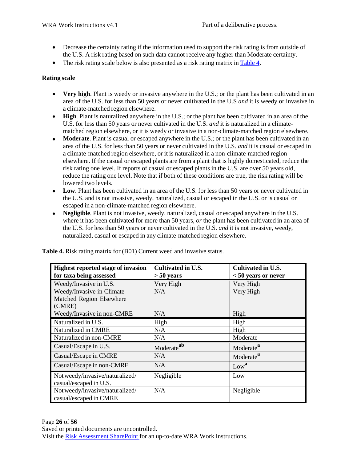- Decrease the certainty rating if the information used to support the risk rating is from outside of the U.S. A risk rating based on such data cannot receive any higher than Moderate certainty.
- The risk rating scale below is also presented as a risk rating matrix in Table 4.

#### **Rating scale**

- **Very high**. Plant is weedy or invasive anywhere in the U.S.; or the plant has been cultivated in an area of the U.S. for less than 50 years or never cultivated in the U.S *and* it is weedy or invasive in a climate-matched region elsewhere.
- High. Plant is naturalized anywhere in the U.S.; or the plant has been cultivated in an area of the U.S. for less than 50 years or never cultivated in the U.S. *and* it is naturalized in a climatematched region elsewhere, or it is weedy or invasive in a non-climate-matched region elsewhere.
- Moderate. Plant is casual or escaped anywhere in the U.S.; or the plant has been cultivated in an area of the U.S. for less than 50 years or never cultivated in the U.S. *and* it is casual or escaped in a climate-matched region elsewhere, or it is naturalized in a non-climate-matched region elsewhere. If the casual or escaped plants are from a plant that is highly domesticated, reduce the risk rating one level. If reports of casual or escaped plants in the U.S. are over 50 years old, reduce the rating one level. Note that if both of these conditions are true, the risk rating will be lowered two levels.
- **Low**. Plant has been cultivated in an area of the U.S. for less than 50 years or never cultivated in the U.S. and is not invasive, weedy, naturalized, casual or escaped in the U.S. or is casual or escaped in a non-climate-matched region elsewhere. •
- **Negligible**. Plant is not invasive, weedy, naturalized, casual or escaped anywhere in the U.S. where it has been cultivated for more than 50 years, *or* the plant has been cultivated in an area of the U.S. for less than 50 years or never cultivated in the U.S. *and* it is not invasive, weedy, naturalized, casual or escaped in any climate-matched region elsewhere. •

| Highest reported stage of invasion | Cultivated in U.S.     | Cultivated in U.S.    |
|------------------------------------|------------------------|-----------------------|
| for taxa being assessed            | $> 50$ years           | $< 50$ years or never |
| Weedy/Invasive in U.S.             | Very High              | Very High             |
| Weedy/Invasive in Climate-         | N/A                    | Very High             |
| Matched Region Elsewhere           |                        |                       |
| (CMRE)                             |                        |                       |
| Weedy/Invasive in non-CMRE         | N/A                    | High                  |
| Naturalized in U.S.                | High                   | High                  |
| Naturalized in CMRE                | N/A                    | High                  |
| Naturalized in non-CMRE            | N/A                    | Moderate              |
| Casual/Escape in U.S.              | Moderate <sup>ab</sup> | Moderate <sup>a</sup> |
| Casual/Escape in CMRE              | N/A                    | Moderate <sup>a</sup> |
| Casual/Escape in non-CMRE          | N/A                    | Low <sup>a</sup>      |
| Not weedy/invasive/naturalized/    | Negligible             | Low                   |
| casual/escaped in U.S.             |                        |                       |
| Not weedy/invasive/naturalized/    | N/A                    | Negligible            |
| casual/escaped in CMRE             |                        |                       |

**Table 4.** Risk rating matrix for (B01) Current weed and invasive status.

Page **26** of **56** Saved or printed documents are uncontrolled. Visit the Risk Assessment SharePoint for an up-to-date WRA Work Instructions.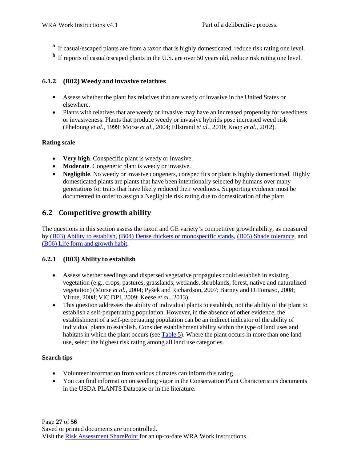- **a** If casual/escaped plants are from a taxon that is highly domesticated, reduce risk rating one level.
- **b** If reports of casual/escaped plants in the U.S. are over 50 years old, reduce risk rating one level.

#### **6.1.2 (B02) Weedy and invasive relatives**

- Assess whether the plant has relatives that are weedy or invasive in the United States or elsewhere.
- Plants with relatives that are weedy or invasive may have an increased propensity for weediness or invasiveness. Plants that produce weedy or invasive hybrids pose increased weed risk (Pheloung *et al.*, 1999; Morse *et al.*, 2004; Ellstrand *et al.*, 2010; Koop *et al.*, 2012).

#### **Rating scale**

- **Very high**. Conspecific plant is weedy or invasive.
- **Moderate**. Congeneric plant is weedy or invasive.
- **Negligible**. No weedy or invasive congeners, conspecifics or plant is highly domesticated. Highly domesticated plants are plants that have been intentionally selected by humans over many generations for traits that have likely reduced their weediness. Supporting evidence must be documented in order to assign a Negligible risk rating due to domestication of the plant.

### **6.2 Competitive growth ability**

The questions in this section assess the taxon and GE variety's competitive growth ability, as measured by (B03) Ability to establish, (B04) Dense thickets or monospecific stands, (B05) Shade tolerance, and (B06) Life form and growth habit.

#### **6.2.1 (B03) Ability to establish**

- Assess whether seedlings and dispersed vegetative propagules could establish in existing vegetation (e.g., crops, pastures, grasslands, wetlands, shrublands, forest, native and naturalized vegetation) (Morse *et al.*, 2004; Pyšek and Richardson, 2007; Barney and DiTomaso, 2008; Virtue, 2008; VIC DPI, 2009; Keese *et al.*, 2013).
- This question addresses the ability of individual plants to establish, not the ability of the plant to establish a self-perpetuating population. However, in the absence of other evidence, the establishment of a self-perpetuating population can be an indirect indicator of the ability of individual plants to establish. Consider establishment ability within the type of land uses and habitats in which the plant occurs (see Table 5). Where the plant occurs in more than one land use, select the highest risk rating among all land use categories.

#### **Search tips**

- Volunteer information from various climates can inform this rating.
- You can find information on seedling vigor in the Conservation Plant Characteristics documents in the USDA PLANTS Database or in the literature.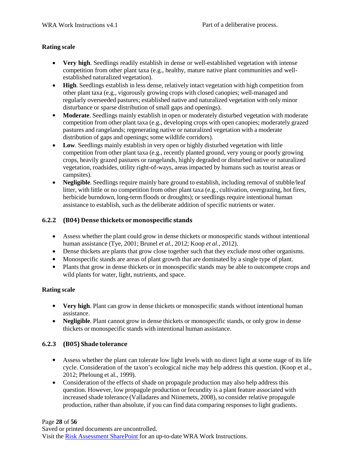#### **Rating scale**

- **Very high**. Seedlings readily establish in dense or well-established vegetation with intense competition from other plant taxa (e.g., healthy, mature native plant communities and wellestablished naturalized vegetation).
- High. Seedlings establish in less dense, relatively intact vegetation with high competition from other plant taxa (e.g., vigorously growing crops with closed canopies; well-managed and regularly overseeded pastures; established native and naturalized vegetation with only minor disturbance or sparse distribution of small gaps and openings).
- **Moderate**. Seedlings mainly establish in open or moderately disturbed vegetation with moderate competition from other plant taxa (e.g., developing crops with open canopies; moderately grazed pastures and rangelands; regenerating native or naturalized vegetation with a moderate distribution of gaps and openings; some wildlife corridors). •
- Low. Seedlings mainly establish in very open or highly disturbed vegetation with little competition from other plant taxa (e.g., recently planted ground, very young or poorly growing crops, heavily grazed pastures or rangelands, highly degraded or disturbed native or naturalized vegetation, roadsides, utility right-of-ways, areas impacted by humans such as tourist areas or campsites).
- Negligible. Seedlings require mainly bare ground to establish, including removal of stubble/leaf litter, with little or no competition from other plant taxa (e.g., cultivation, overgrazing, hot fires, herbicide burndown, long-term floods or droughts); or seedlings require intentional human assistance to establish, such as the deliberate addition of specific nutrients or water.

#### **6.2.2 (B04) Dense thickets or monospecific stands**

- Assess whether the plant could grow in dense thickets or monospecific stands without intentional human assistance (Tye, 2001; Brunel *et al.*, 2012; Koop *et al.*, 2012).
- Dense thickets are plants that grow close together such that they exclude most other organisms.
- Monospecific stands are areas of plant growth that are dominated by a single type of plant.
- Plants that grow in dense thickets or in monospecific stands may be able to outcompete crops and wild plants for water, light, nutrients, and space.

#### **Rating scale**

- **Very high**. Plant can grow in dense thickets or monospecific stands without intentional human assistance.
- Negligible. Plant cannot grow in dense thickets or monospecific stands, or only grow in dense thickets or monospecific stands with intentional human assistance.

#### **6.2.3 (B05) Shade tolerance**

- Assess whether the plant can tolerate low light levels with no direct light at some stage of its life cycle. Consideration of the taxon's ecological niche may help address this question. (Koop et al., 2012; Pheloung et al., 1999).
- Consideration of the effects of shade on propagule production may also help address this question. However, low propagule production or fecundity is a plant feature associated with increased shade tolerance (Valladares and Niinemets, 2008), so consider relative propagule production, rather than absolute, if you can find data comparing responses to light gradients.

#### Page **28** of **56**

Saved or printed documents are uncontrolled. Visit the Risk Assessment SharePoint for an up-to-date WRA Work Instructions.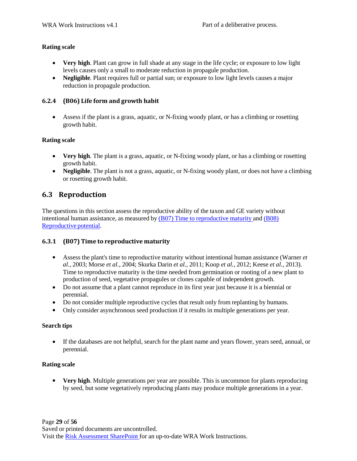#### **Rating scale**

- **Very high**. Plant can grow in full shade at any stage in the life cycle; or exposure to low light levels causes only a small to moderate reduction in propagule production.
- Negligible. Plant requires full or partial sun; or exposure to low light levels causes a major reduction in propagule production.

#### **6.2.4 (B06) Life form and growth habit**

• Assess if the plant is a grass, aquatic, or N-fixing woody plant, or has a climbing or rosetting growth habit.

#### **Rating scale**

- **Very high**. The plant is a grass, aquatic, or N-fixing woody plant, or has a climbing or rosetting growth habit.
- Negligible. The plant is not a grass, aquatic, or N-fixing woody plant, or does not have a climbing or rosetting growth habit.

#### **6.3 Reproduction**

The questions in this section assess the reproductive ability of the taxon and GE variety without intentional human assistance, as measured by (B07) Time to reproductive maturity and (B08) Reproductive potential.

#### **6.3.1 (B07) Time to reproductive maturity**

- Assess the plant's time to reproductive maturity without intentional human assistance (Warner *et al.*, 2003; Morse *et al.*, 2004; Skurka Darin *et al.*, 2011; Koop *et al.*, 2012; Keese *et al.*, 2013). Time to reproductive maturity is the time needed from germination or rooting of a new plant to production of seed, vegetative propagules or clones capable of independent growth.
- Do not assume that a plant cannot reproduce in its first year just because it is a biennial or perennial.
- Do not consider multiple reproductive cycles that result only from replanting by humans.
- Only consider asynchronous seed production if it results in multiple generations per year.

#### **Search tips**

• If the databases are not helpful, search for the plant name and years flower, years seed, annual, or perennial.

#### **Rating scale**

• **Very high**. Multiple generations per year are possible. This is uncommon for plants reproducing by seed, but some vegetatively reproducing plants may produce multiple generations in a year.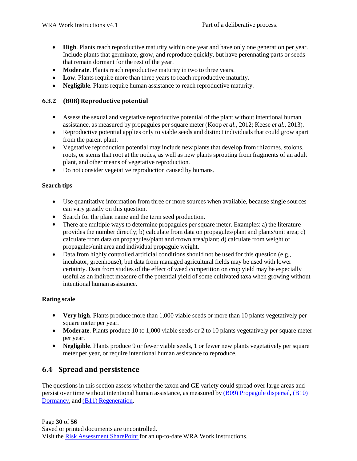- **High**. Plants reach reproductive maturity within one year and have only one generation per year. Include plants that germinate, grow, and reproduce quickly, but have perennating parts or seeds that remain dormant for the rest of the year.
- Moderate. Plants reach reproductive maturity in two to three years.
- Low. Plants require more than three years to reach reproductive maturity.
- Negligible. Plants require human assistance to reach reproductive maturity.

#### **6.3.2 (B08)Reproductive potential**

- Assess the sexual and vegetative reproductive potential of the plant without intentional human assistance, as measured by propagules per square meter (Koop *et al.*, 2012; Keese *et al.*, 2013).
- Reproductive potential applies only to viable seeds and distinct individuals that could grow apart from the parent plant.
- Vegetative reproduction potential may include new plants that develop from rhizomes, stolons, roots, or stems that root at the nodes, as well as new plants sprouting from fragments of an adult plant, and other means of vegetative reproduction.
- Do not consider vegetative reproduction caused by humans.

#### **Search tips**

- Use quantitative information from three or more sources when available, because single sources can vary greatly on this question.
- Search for the plant name and the term seed production.
- There are multiple ways to determine propagules per square meter. Examples: a) the literature provides the number directly; b) calculate from data on propagules/plant and plants/unit area; c) calculate from data on propagules/plant and crown area/plant; d) calculate from weight of propagules/unit area and individual propagule weight.
- Data from highly controlled artificial conditions should not be used for this question (e.g., incubator, greenhouse), but data from managed agricultural fields may be used with lower certainty. Data from studies of the effect of weed competition on crop yield may be especially useful as an indirect measure of the potential yield of some cultivated taxa when growing without intentional human assistance.

#### **Rating scale**

- **Very high**. Plants produce more than 1,000 viable seeds or more than 10 plants vegetatively per square meter per year.
- Moderate. Plants produce 10 to 1,000 viable seeds or 2 to 10 plants vegetatively per square meter per year.
- Negligible. Plants produce 9 or fewer viable seeds, 1 or fewer new plants vegetatively per square meter per year, or require intentional human assistance to reproduce.

#### **6.4 Spread and persistence**

The questions in this section assess whether the taxon and GE variety could spread over large areas and persist over time without intentional human assistance, as measured by (B09) Propagule dispersal, (B10) Dormancy, and (B11) Regeneration.

Page **30** of **56** Saved or printed documents are uncontrolled. Visit the Risk Assessment SharePoint for an up-to-date WRA Work Instructions.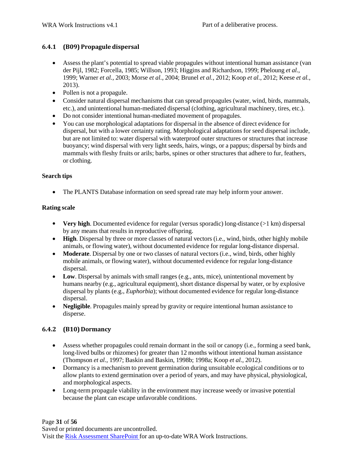#### **6.4.1 (B09) Propagule dispersal**

- Assess the plant's potential to spread viable propagules without intentional human assistance (van der Pijl, 1982; Forcella, 1985; Willson, 1993; Higgins and Richardson, 1999; Pheloung *et al.*, 1999; Warner *et al.*, 2003; Morse *et al.*, 2004; Brunel *et al.*, 2012; Koop *et al.*, 2012; Keese *et al.*, 2013).
- Pollen is not a propagule.
- Consider natural dispersal mechanisms that can spread propagules (water, wind, birds, mammals, etc.), and unintentional human-mediated dispersal (clothing, agricultural machinery, tires, etc.).
- Do not consider intentional human-mediated movement of propagules. •
- You can use morphological adaptations for dispersal in the absence of direct evidence for dispersal, but with a lower certainty rating. Morphological adaptations for seed dispersal include, but are not limited to: water dispersal with waterproof outer structures or structures that increase buoyancy; wind dispersal with very light seeds, hairs, wings, or a pappus; dispersal by birds and mammals with fleshy fruits or arils; barbs, spines or other structures that adhere to fur, feathers, or clothing.

#### **Search tips**

• The PLANTS Database information on seed spread rate may help inform your answer.

#### **Rating scale**

- **Very high**. Documented evidence for regular (versus sporadic) long-distance (>1 km) dispersal by any means that results in reproductive offspring.
- High. Dispersal by three or more classes of natural vectors (i.e., wind, birds, other highly mobile animals, or flowing water), without documented evidence for regular long-distance dispersal.
- Moderate. Dispersal by one or two classes of natural vectors (i.e., wind, birds, other highly mobile animals, or flowing water), without documented evidence for regular long-distance dispersal.
- Low. Dispersal by animals with small ranges (e.g., ants, mice), unintentional movement by humans nearby (e.g., agricultural equipment), short distance dispersal by water, or by explosive dispersal by plants (e.g., *Euphorbia*); without documented evidence for regular long-distance dispersal.
- Negligible. Propagules mainly spread by gravity or require intentional human assistance to disperse.

#### **6.4.2 (B10) Dormancy**

- Assess whether propagules could remain dormant in the soil or canopy (i.e., forming a seed bank, long-lived bulbs or rhizomes) for greater than 12 months without intentional human assistance (Thompson *et al.*, 1997; Baskin and Baskin, 1998b; 1998a; Koop *et al.*, 2012).
- Dormancy is a mechanism to prevent germination during unsuitable ecological conditions or to allow plants to extend germination over a period of years, and may have physical, physiological, and morphological aspects.
- Long-term propagule viability in the environment may increase weedy or invasive potential because the plant can escape unfavorable conditions.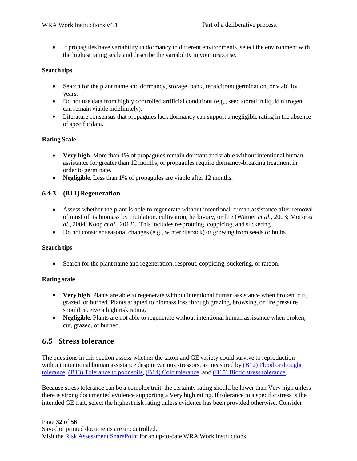• If propagules have variability in dormancy in different environments, select the environment with the highest rating scale and describe the variability in your response.

#### **Search tips**

- Search for the plant name and dormancy, storage, bank, recalcitrant germination, or viability years.
- Do not use data from highly controlled artificial conditions (e.g., seed stored in liquid nitrogen can remain viable indefinitely).
- Literature consensus that propagules lack dormancy can support a negligible rating in the absence of specific data.

#### **Rating Scale**

- **Very high**. More than 1% of propagules remain dormant and viable without intentional human assistance for greater than 12 months, or propagules require dormancy-breaking treatment in order to germinate.
- **Negligible**. Less than 1% of propagules are viable after 12 months.

#### **6.4.3 (B11)Regeneration**

- Assess whether the plant is able to regenerate without intentional human assistance after removal of most of its biomass by mutilation, cultivation, herbivory, or fire (Warner *et al.*, 2003; Morse *et al.*, 2004; Koop *et al.*, 2012). This includes resprouting, coppicing, and suckering.
- Do not consider seasonal changes (e.g., winter dieback) or growing from seeds or bulbs.

#### **Search tips**

• Search for the plant name and regeneration, resprout, coppicing, suckering, or ratoon.

#### **Rating scale**

- **Very high**. Plants are able to regenerate without intentional human assistance when broken, cut, grazed, or burned. Plants adapted to biomass loss through grazing, browsing, or fire pressure should receive a high risk rating.
- Negligible. Plants are not able to regenerate without intentional human assistance when broken, cut, grazed, or burned.

#### **6.5 Stress tolerance**

The questions in this section assess whether the taxon and GE variety could survive to reproduction without intentional human assistance despite various stressors, as measured by (B12) Flood or drought tolerance, (B13) Tolerance to poor soils, (B14) Cold tolerance, and (B15) Biotic stress tolerance.

Because stress tolerance can be a complex trait, the certainty rating should be lower than Very high unless there is strong documented evidence supporting a Very high rating. If tolerance to a specific stress is the intended GE trait, select the highest risk rating unless evidence has been provided otherwise. Consider

Page **32** of **56** Saved or printed documents are uncontrolled. Visit the Risk Assessment SharePoint for an up-to-date WRA Work Instructions.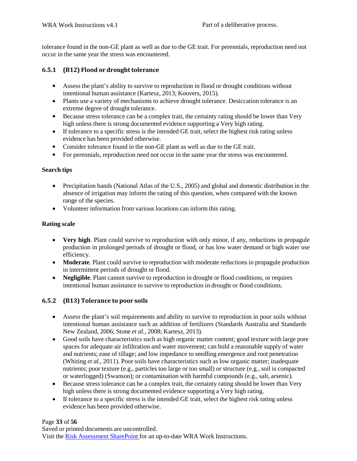tolerance found in the non-GE plant as well as due to the GE trait. For perennials, reproduction need not occur in the same year the stress was encountered.

#### **6.5.1 (B12)** Flood or drought tolerance

- Assess the plant's ability to survive to reproduction in flood or drought conditions without intentional human assistance (Kartesz, 2013; Koovers, 2015).
- Plants use a variety of mechanisms to achieve drought tolerance. Desiccation tolerance is an extreme degree of drought tolerance.
- Because stress tolerance can be a complex trait, the certainty rating should be lower than Very high unless there is strong documented evidence supporting a Very high rating.
- If tolerance to a specific stress is the intended GE trait, select the highest risk rating unless evidence has been provided otherwise.
- Consider tolerance found in the non-GE plant as well as due to the GE trait.
- For perennials, reproduction need not occur in the same year the stress was encountered.

#### **Search tips**

- Precipitation bands (National Atlas of the U.S., 2005) and global and domestic distribution in the absence of irrigation may inform the rating of this question, when compared with the known range of the species.
- Volunteer information from various locations can inform this rating.

#### **Rating scale**

- **Very high**. Plant could survive to reproduction with only minor, if any, reductions in propagule production in prolonged periods of drought or flood, or has low water demand or high water use efficiency.
- Moderate. Plant could survive to reproduction with moderate reductions in propagule production in intermittent periods of drought or flood.
- Negligible. Plant cannot survive to reproduction in drought or flood conditions, or requires intentional human assistance to survive to reproduction in drought or flood conditions.

#### **6.5.2 (B13) Tolerance to poor soils**

- Assess the plant's soil requirements and ability to survive to reproduction in poor soils without intentional human assistance such as addition of fertilizers (Standards Australia and Standards New Zealand, 2006; Stone *et al.*, 2008; Kartesz, 2013).
- Good soils have characteristics such as high organic matter content; good texture with large pore spaces for adequate air infiltration and water movement; can hold a reasonable supply of water and nutrients; ease of tillage; and low impedance to seedling emergence and root penetration (Whiting *et al.*, 2011). Poor soils have characteristics such as low organic matter; inadequate nutrients; poor texture (e.g., particles too large or too small) or structure (e.g., soil is compacted or waterlogged) (Swanson); or contamination with harmful compounds (e.g., salt, arsenic).
- Because stress tolerance can be a complex trait, the certainty rating should be lower than Very high unless there is strong documented evidence supporting a Very high rating.
- If tolerance to a specific stress is the intended GE trait, select the highest risk rating unless evidence has been provided otherwise.

#### Page **33** of **56**

Saved or printed documents are uncontrolled. Visit the Risk Assessment SharePoint for an up-to-date WRA Work Instructions.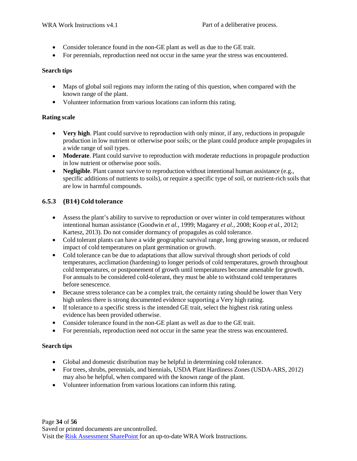- Consider tolerance found in the non-GE plant as well as due to the GE trait.
- For perennials, reproduction need not occur in the same year the stress was encountered.

#### **Search tips**

- Maps of global soil regions may inform the rating of this question, when compared with the known range of the plant.
- Volunteer information from various locations can inform this rating.

#### **Rating scale**

- **Very high**. Plant could survive to reproduction with only minor, if any, reductions in propagule production in low nutrient or otherwise poor soils; or the plant could produce ample propagules in a wide range of soil types.
- Moderate. Plant could survive to reproduction with moderate reductions in propagule production in low nutrient or otherwise poor soils.
- Negligible. Plant cannot survive to reproduction without intentional human assistance (e.g., specific additions of nutrients to soils), or require a specific type of soil, or nutrient-rich soils that are low in harmful compounds.

#### **6.5.3 (B14) Cold tolerance**

- Assess the plant's ability to survive to reproduction or over winter in cold temperatures without intentional human assistance (Goodwin *et al.*, 1999; Magarey *et al.*, 2008; Koop *et al.*, 2012; Kartesz, 2013). Do not consider dormancy of propagules as cold tolerance.
- Cold tolerant plants can have a wide geographic survival range, long growing season, or reduced impact of cold temperatures on plant germination or growth.
- Cold tolerance can be due to adaptations that allow survival through short periods of cold temperatures, acclimation (hardening) to longer periods of cold temperatures, growth throughout cold temperatures, or postponement of growth until temperatures become amenable for growth. For annuals to be considered cold-tolerant, they must be able to withstand cold temperatures before senescence.
- Because stress tolerance can be a complex trait, the certainty rating should be lower than Very high unless there is strong documented evidence supporting a Very high rating.
- If tolerance to a specific stress is the intended GE trait, select the highest risk rating unless evidence has been provided otherwise.
- Consider tolerance found in the non-GE plant as well as due to the GE trait.
- For perennials, reproduction need not occur in the same year the stress was encountered.

#### **Search tips**

- Global and domestic distribution may be helpful in determining cold tolerance.
- For trees, shrubs, perennials, and biennials, USDA Plant Hardiness Zones (USDA-ARS, 2012) may also be helpful, when compared with the known range of the plant.
- Volunteer information from various locations can inform this rating.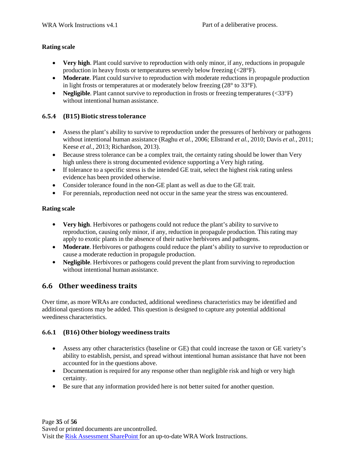#### **Rating scale**

- **Very high**. Plant could survive to reproduction with only minor, if any, reductions in propagule production in heavy frosts or temperatures severely below freezing (<28°F).
- Moderate. Plant could survive to reproduction with moderate reductions in propagule production in light frosts or temperatures at or moderately below freezing (28° to 33°F).
- Negligible. Plant cannot survive to reproduction in frosts or freezing temperatures (<33°F) without intentional human assistance.

#### **6.5.4 (B15) Biotic stress tolerance**

- Assess the plant's ability to survive to reproduction under the pressures of herbivory or pathogens without intentional human assistance (Raghu *et al.*, 2006; Ellstrand *et al.*, 2010; Davis *et al.*, 2011; Keese *et al.*, 2013; Richardson, 2013).
- Because stress tolerance can be a complex trait, the certainty rating should be lower than Very high unless there is strong documented evidence supporting a Very high rating.
- If tolerance to a specific stress is the intended GE trait, select the highest risk rating unless evidence has been provided otherwise.
- Consider tolerance found in the non-GE plant as well as due to the GE trait.
- For perennials, reproduction need not occur in the same year the stress was encountered.

#### **Rating scale**

- **Very high**. Herbivores or pathogens could not reduce the plant's ability to survive to reproduction, causing only minor, if any, reduction in propagule production. This rating may apply to exotic plants in the absence of their native herbivores and pathogens.
- Moderate. Herbivores or pathogens could reduce the plant's ability to survive to reproduction or cause a moderate reduction in propagule production.
- Negligible. Herbivores or pathogens could prevent the plant from surviving to reproduction without intentional human assistance.

### **6.6 Other weediness traits**

Over time, as more WRAs are conducted, additional weediness characteristics may be identified and additional questions may be added. This question is designed to capture any potential additional weediness characteristics.

#### **6.6.1 (B16) Other biology weediness traits**

- Assess any other characteristics (baseline or GE) that could increase the taxon or GE variety's ability to establish, persist, and spread without intentional human assistance that have not been accounted for in the questions above.
- Documentation is required for any response other than negligible risk and high or very high certainty.
- Be sure that any information provided here is not better suited for another question.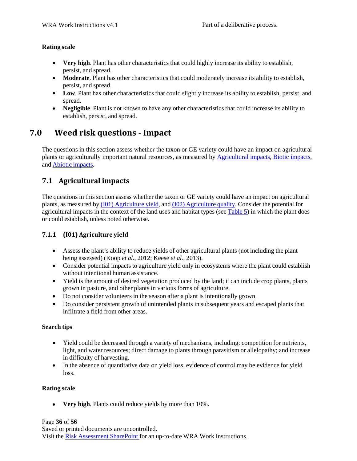#### **Rating scale**

- **Very high**. Plant has other characteristics that could highly increase its ability to establish, persist, and spread.
- Moderate. Plant has other characteristics that could moderately increase its ability to establish, persist, and spread.
- Low. Plant has other characteristics that could slightly increase its ability to establish, persist, and spread.
- Negligible. Plant is not known to have any other characteristics that could increase its ability to establish, persist, and spread.

### **7.0 Weed risk questions ‐ Impact**

The questions in this section assess whether the taxon or GE variety could have an impact on agricultural plants or agriculturally important natural resources, as measured by Agricultural impacts, Biotic impacts, and Abiotic impacts.

### **7.1 Agricultural impacts**

The questions in this section assess whether the taxon or GE variety could have an impact on agricultural plants, as measured by (I01) Agriculture yield, and (I02) Agriculture quality. Consider the potential for agricultural impacts in the context of the land uses and habitat types (see Table 5) in which the plant does or could establish, unless noted otherwise.

#### **7.1.1 (I01) Agriculture yield**

- Assess the plant's ability to reduce yields of other agricultural plants (not including the plant being assessed) (Koop *et al.*, 2012; Keese *et al.*, 2013).
- Consider potential impacts to agriculture yield only in ecosystems where the plant could establish without intentional human assistance.
- Yield is the amount of desired vegetation produced by the land; it can include crop plants, plants grown in pasture, and other plants in various forms of agriculture.
- Do not consider volunteers in the season after a plant is intentionally grown.
- Do consider persistent growth of unintended plants in subsequent years and escaped plants that infiltrate a field from other areas.

#### **Search tips**

- Yield could be decreased through a variety of mechanisms, including: competition for nutrients, light, and water resources; direct damage to plants through parasitism or allelopathy; and increase in difficulty of harvesting.
- In the absence of quantitative data on yield loss, evidence of control may be evidence for yield loss.

#### **Rating scale**

• **Very high**. Plants could reduce yields by more than 10%.

#### Page **36** of **56**

Saved or printed documents are uncontrolled. Visit the Risk Assessment SharePoint for an up-to-date WRA Work Instructions.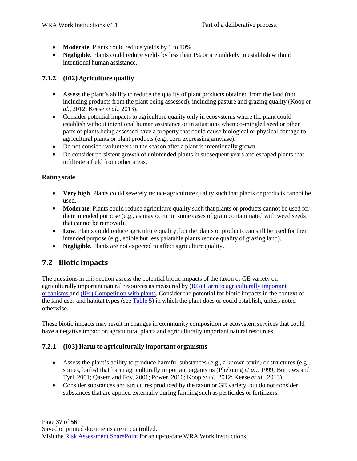- **Moderate**. Plants could reduce yields by 1 to 10%.
- **Negligible**. Plants could reduce yields by less than 1% or are unlikely to establish without intentional human assistance.

#### **7.1.2 (I02) Agriculture quality**

- Assess the plant's ability to reduce the quality of plant products obtained from the land (not including products from the plant being assessed), including pasture and grazing quality (Koop *et al.*, 2012; Keese *et al.*, 2013).
- Consider potential impacts to agriculture quality only in ecosystems where the plant could establish without intentional human assistance or in situations when co-mingled seed or other parts of plants being assessed have a property that could cause biological or physical damage to agricultural plants or plant products (e.g., corn expressing amylase).
- Do not consider volunteers in the season after a plant is intentionally grown. •
- Do consider persistent growth of unintended plants in subsequent years and escaped plants that infiltrate a field from other areas.

#### **Rating scale**

- **Very high**. Plants could severely reduce agriculture quality such that plants or products cannot be used.
- Moderate. Plants could reduce agriculture quality such that plants or products cannot be used for their intended purpose (e.g., as may occur in some cases of grain contaminated with weed seeds that cannot be removed).
- Low. Plants could reduce agriculture quality, but the plants or products can still be used for their intended purpose (e.g., edible but less palatable plants reduce quality of grazing land).
- **Negligible**. Plants are not expected to affect agriculture quality. •

### **7.2 Biotic impacts**

The questions in this section assess the potential biotic impacts of the taxon or GE variety on agriculturally important natural resources as measured by (I03) Harm to agriculturally important organisms and (I04) Competition with plants. Consider the potential for biotic impacts in the context of the land uses and habitat types (see Table 5) in which the plant does or could establish, unless noted otherwise.

These biotic impacts may result in changes in community composition or ecosystem services that could have a negative impact on agricultural plants and agriculturally important natural resources.

#### **7.2.1 (I03) Harm to agriculturally important organisms**

- Assess the plant's ability to produce harmful substances (e.g., a known toxin) or structures (e.g., spines, barbs) that harm agriculturally important organisms (Pheloung *et al.*, 1999; Burrows and Tyrl, 2001; Qasem and Foy, 2001; Power, 2010; Koop *et al.*, 2012; Keese *et al.*, 2013).
- Consider substances and structures produced by the taxon or GE variety, but do not consider substances that are applied externally during farming such as pesticides or fertilizers.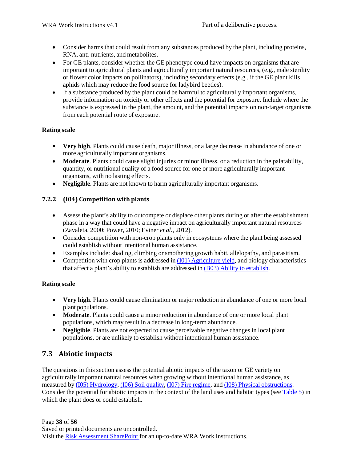- Consider harms that could result from any substances produced by the plant, including proteins, RNA, anti-nutrients, and metabolites.
- For GE plants, consider whether the GE phenotype could have impacts on organisms that are important to agricultural plants and agriculturally important natural resources, (e.g., male sterility or flower color impacts on pollinators), including secondary effects (e.g., if the GE plant kills aphids which may reduce the food source for ladybird beetles).
- If a substance produced by the plant could be harmful to agriculturally important organisms, provide information on toxicity or other effects and the potential for exposure. Include where the substance is expressed in the plant, the amount, and the potential impacts on non-target organisms from each potential route of exposure. •

#### **Rating scale**

- **Very high**. Plants could cause death, major illness, or a large decrease in abundance of one or more agriculturally important organisms.
- Moderate. Plants could cause slight injuries or minor illness, or a reduction in the palatability, quantity, or nutritional quality of a food source for one or more agriculturally important organisms, with no lasting effects.
- Negligible. Plants are not known to harm agriculturally important organisms.

#### **7.2.2 (I04) Competition with plants**

- Assess the plant's ability to outcompete or displace other plants during or after the establishment phase in a way that could have a negative impact on agriculturally important natural resources (Zavaleta, 2000; Power, 2010; Eviner *et al.*, 2012).
- Consider competition with non-crop plants only in ecosystems where the plant being assessed could establish without intentional human assistance.
- Examples include: shading, climbing or smothering growth habit, allelopathy, and parasitism. •
- Competition with crop plants is addressed in (I01) Agriculture yield, and biology characteristics that affect a plant's ability to establish are addressed in (B03) Ability to establish.

#### **Rating scale**

- **Very high**. Plants could cause elimination or major reduction in abundance of one or more local plant populations.
- Moderate. Plants could cause a minor reduction in abundance of one or more local plant populations, which may result in a decrease in long-term abundance.
- Negligible. Plants are not expected to cause perceivable negative changes in local plant populations, or are unlikely to establish without intentional human assistance.

#### **7.3 Abiotic impacts**

The questions in this section assess the potential abiotic impacts of the taxon or GE variety on agriculturally important natural resources when growing without intentional human assistance, as measured by (I05) Hydrology, (I06) Soil quality, (I07) Fire regime, and (I08) Physical obstructions. Consider the potential for abiotic impacts in the context of the land uses and habitat types (see Table 5) in which the plant does or could establish.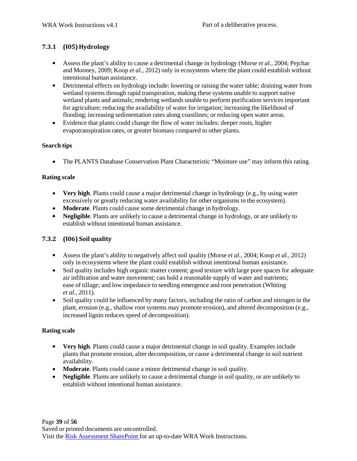#### **7.3.1 (I05) Hydrology**

- Assess the plant's ability to cause a detrimental change in hydrology (Morse *et al.*, 2004; Pejchar and Mooney, 2009; Koop *et al.*, 2012) only in ecosystems where the plant could establish without intentional human assistance.
- Detrimental effects on hydrology include: lowering or raising the water table; draining water from wetland systems through rapid transpiration, making these systems unable to support native wetland plants and animals; rendering wetlands unable to perform purification services important for agriculture; reducing the availability of water for irrigation; increasing the likelihood of flooding; increasing sedimentation rates along coastlines; or reducing open water areas.
- Evidence that plants could change the flow of water includes: deeper roots, higher evapotranspiration rates, or greater biomass compared to other plants.

#### **Search tips**

• The PLANTS Database Conservation Plant Characteristic "Moisture use" may inform this rating.

#### **Rating scale**

- **Very high**. Plants could cause a major detrimental change in hydrology (e.g., by using water excessively or greatly reducing water availability for other organisms in the ecosystem).
- **Moderate**. Plants could cause some detrimental change in hydrology. •
- Negligible. Plants are unlikely to cause a detrimental change in hydrology, or are unlikely to establish without intentional human assistance.

#### **7.3.2 (I06) Soil quality**

- Assess the plant's ability to negatively affect soil quality (Morse *et al.*, 2004; Koop *et al.*, 2012) only in ecosystems where the plant could establish without intentional human assistance.
- Soil quality includes high organic matter content; good texture with large pore spaces for adequate air infiltration and water movement; can hold a reasonable supply of water and nutrients; ease of tillage; and low impedance to seedling emergence and root penetration (Whiting *et al.*, 2011).
- Soil quality could be influenced by many factors, including the ratio of carbon and nitrogen in the plant, erosion (e.g., shallow root systems may promote erosion), and altered decomposition (e.g., increased lignin reduces speed of decomposition).

#### **Rating scale**

- **Very high**. Plants could cause a major detrimental change in soil quality. Examples include plants that promote erosion, alter decomposition, or cause a detrimental change in soil nutrient availability.
- Moderate. Plants could cause a minor detrimental change in soil quality.
- Negligible. Plants are unlikely to cause a detrimental change in soil quality, or are unlikely to establish without intentional human assistance.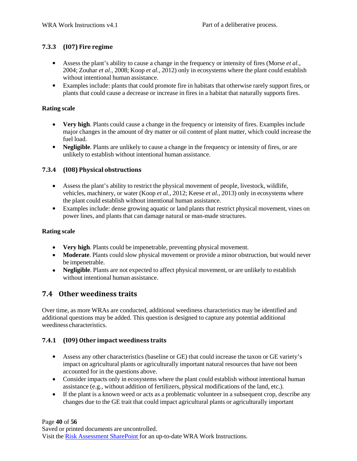#### **7.3.3 (I07) Fire regime**

- Assess the plant's ability to cause a change in the frequency or intensity of fires (Morse *et al.*, 2004; Zouhar *et al.*, 2008; Koop *et al.*, 2012) only in ecosystems where the plant could establish without intentional human assistance.
- Examples include: plants that could promote fire in habitats that otherwise rarely support fires, or plants that could cause a decrease or increase in fires in a habitat that naturally supports fires.

#### **Rating scale**

- **Very high**. Plants could cause a change in the frequency or intensity of fires. Examples include major changes in the amount of dry matter or oil content of plant matter, which could increase the fuel load.
- Negligible. Plants are unlikely to cause a change in the frequency or intensity of fires, or are unlikely to establish without intentional human assistance.

#### **7.3.4 (I08) Physical obstructions**

- Assess the plant's ability to restrict the physical movement of people, livestock, wildlife, vehicles, machinery, or water (Koop *et al.*, 2012; Keese *et al.*, 2013) only in ecosystems where the plant could establish without intentional human assistance.
- Examples include: dense growing aquatic or land plants that restrict physical movement, vines on power lines, and plants that can damage natural or man-made structures.

#### **Rating scale**

- **Very high**. Plants could be impenetrable, preventing physical movement.
- **Moderate**. Plants could slow physical movement or provide a minor obstruction, but would never be impenetrable.
- Negligible. Plants are not expected to affect physical movement, or are unlikely to establish without intentional human assistance.

#### **7.4 Other weediness traits**

Over time, as more WRAs are conducted, additional weediness characteristics may be identified and additional questions may be added. This question is designed to capture any potential additional weediness characteristics.

#### **7.4.1 (I09) Other impact weediness traits**

- Assess any other characteristics (baseline or GE) that could increase the taxon or GE variety's impact on agricultural plants or agriculturally important natural resources that have not been accounted for in the questions above.
- Consider impacts only in ecosystems where the plant could establish without intentional human assistance (e.g., without addition of fertilizers, physical modifications of the land, etc.).
- If the plant is a known weed or acts as a problematic volunteer in a subsequent crop, describe any changes due to the GE trait that could impact agricultural plants or agriculturally important

#### Page **40** of **56**

Saved or printed documents are uncontrolled. Visit the Risk Assessment SharePoint for an up-to-date WRA Work Instructions.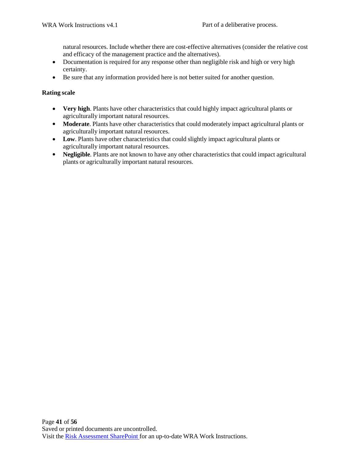natural resources. Include whether there are cost-effective alternatives (consider the relative cost and efficacy of the management practice and the alternatives).

- Documentation is required for any response other than negligible risk and high or very high certainty.
- Be sure that any information provided here is not better suited for another question.

#### **Rating scale**

- **Very high**. Plants have other characteristics that could highly impact agricultural plants or agriculturally important natural resources.
- Moderate. Plants have other characteristics that could moderately impact agricultural plants or agriculturally important natural resources.
- Low. Plants have other characteristics that could slightly impact agricultural plants or agriculturally important natural resources.
- Negligible. Plants are not known to have any other characteristics that could impact agricultural plants or agriculturally important natural resources.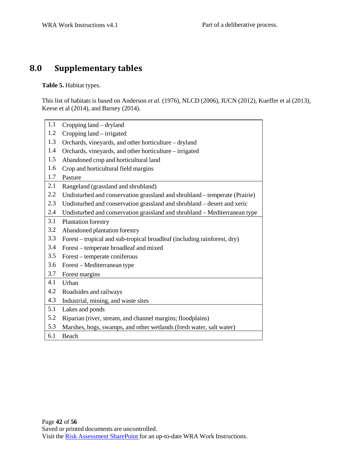## **8.0 Supplementary tables**

**Table 5.** Habitat types.

This list of habitats is based on Anderson *et al.* (1976), NLCD (2006), IUCN (2012), Kueffer et al (2013), Keese et al (2014), and Barney (2014).

| 1.1 | Cropping land – dryland                                                    |
|-----|----------------------------------------------------------------------------|
| 1.2 | Cropping land – irrigated                                                  |
| 1.3 | Orchards, vineyards, and other horticulture - dryland                      |
| 1.4 | Orchards, vineyards, and other horticulture – irrigated                    |
| 1.5 | Abandoned crop and horticultural land                                      |
| 1.6 | Crop and horticultural field margins                                       |
| 1.7 | Pasture                                                                    |
| 2.1 | Rangeland (grassland and shrubland)                                        |
| 2.2 | Undisturbed and conservation grassland and shrubland – temperate (Prairie) |
| 2.3 | Undisturbed and conservation grassland and shrubland - desert and xeric    |
| 2.4 | Undisturbed and conservation grassland and shrubland - Mediterranean type  |
| 3.1 | Plantation forestry                                                        |
| 3.2 | Abandoned plantation forestry                                              |
| 3.3 | Forest – tropical and sub-tropical broadleaf (including rainforest, dry)   |
| 3.4 | Forest – temperate broadleaf and mixed                                     |
| 3.5 | Forest – temperate coniferous                                              |
| 3.6 | Forest – Mediterranean type                                                |
| 3.7 | Forest margins                                                             |
| 4.1 | Urban                                                                      |
| 4.2 | Roadsides and railways                                                     |
| 4.3 | Industrial, mining, and waste sites                                        |
| 5.1 | Lakes and ponds                                                            |
| 5.2 | Riparian (river, stream, and channel margins; floodplains)                 |
| 5.3 | Marshes, bogs, swamps, and other wetlands (fresh water, salt water)        |
| 6.1 | Beach                                                                      |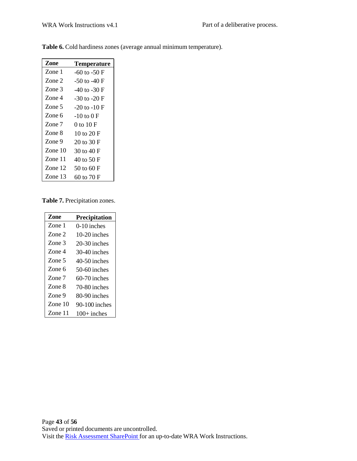| Zone      | <b>Temperature</b> |
|-----------|--------------------|
| Zone 1    | $-60$ to $-50$ F   |
| Zone 2    | -50 to -40 F       |
| Zone 3    | $-40$ to $-30$ F   |
| Zone 4    | -30 to -20 F       |
| Zone 5    | $-20$ to $-10$ F   |
| Zone 6    | -10 to 0 F         |
| Zone 7    | 0 to 10 F          |
| Zone 8    | 10 to 20 $F$       |
| Zone 9    | 20 to 30 F         |
| Zone $10$ | 30 to 40 F         |
| Zone $11$ | 40 to 50 F         |
| Zone 12   | 50 to 60 F         |
| Zone 13   | 60 to 70 F         |

**Table 6.** Cold hardiness zones (average annual minimum temperature).

**Table 7.** Precipitation zones.

| Zone    | <b>Precipitation</b> |
|---------|----------------------|
| Zone 1  | $0-10$ inches        |
| Zone 2  | $10-20$ inches       |
| Zone 3  | $20-30$ inches       |
| Zone 4  | 30-40 inches         |
| Zone 5  | $40-50$ inches       |
| Zone 6  | $50-60$ inches       |
| Zone 7  | $60-70$ inches       |
| Zone 8  | 70-80 inches         |
| Zone 9  | 80-90 inches         |
| Zone 10 | $90-100$ inches      |
| Zone 11 | $100+$ inches        |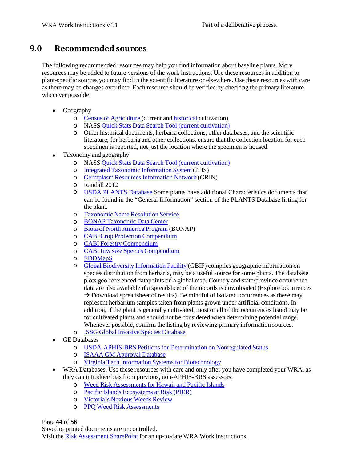### **9.0 Recommendedsources**

The following recommended resources may help you find information about baseline plants. More resources may be added to future versions of the work instructions. Use these resources in addition to plant-specific sources you may find in the scientific literature or elsewhere. Use these resources with care as there may be changes over time. Each resource should be verified by checking the primary literature whenever possible.

- Geography
	- o Census of Agriculture (current and historical cultivation)
	- o NASS *Quick Stats Data Search Tool (current cultivation)*<br>
	Other historical documents, herbaria collections, other dat
	- Other historical documents, herbaria collections, other databases, and the scientific literature; for herbaria and other collections, ensure that the collection location for each specimen is reported, not just the location where the specimen is housed.
- Taxonomy and geography
	- o NASS Quick Stats Data Search Tool (current cultivation)
	- o Integrated Taxonomic Information System (ITIS)
	- o **Germplasm Resources Information Network (GRIN)**
	- Randall 2012 o
	- USDA PLANTS Database Some plants have additional Characteristics documents that can be found in the "General Information" section of the PLANTS Database listing for the plant. o
	- Taxonomic Name Resolution Service o
	- BONAP Taxonomic Data Center o
	- Biota of North America Program (BONAP) o
	- CABI Crop Protection Compendium o
	- o **CABI Forestry Compendium**
	- o CABI Invasive Species Compendium
	- o <u>EDDMapS</u>
	- Global Biodiversity Information Facility (GBIF) compiles geographic information on species distribution from herbaria, may be a useful source for some plants. The database plots geo-referenced datapoints on a global map. Country and state/province occurrence data are also available if a spreadsheet of the records is downloaded (Explore occurrences  $\rightarrow$  Download spreadsheet of results). Be mindful of isolated occurrences as these may represent herbarium samples taken from plants grown under artificial conditions. In addition, if the plant is generally cultivated, most or all of the occurrences listed may be for cultivated plants and should not be considered when determining potential range. Whenever possible, confirm the listing by reviewing primary information sources. o
	- o **ISSG Global Invasive Species Database**
- GE Databases
	- o USDA-APHIS-BRS Petitions for Determination on Nonregulated Status
	- o ISAAA GM Approval Database
	- o Virginia Tech Information Systems for Biotechnology
- WRA Databases. Use these resources with care and only after you have completed your WRA, as they can introduce bias from previous, non-APHIS-BRS assessors. •
	- o Weed Risk Assessments for Hawaii and Pacific Islands
	- o Pacific Islands Ecosystems at Risk (PIER)
	- o Victoria's Noxious Weeds Review
	- o PPQ Weed Risk Assessments

Page **44** of **56**

Saved or printed documents are uncontrolled.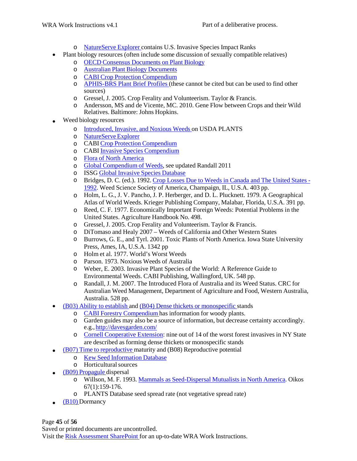- o NatureServe Explorer contains U.S. Invasive Species Impact Ranks
- Plant biology resources (often include some discussion of sexually compatible relatives)
	- o OECD Consensus Documents on Plant Biology
	- o Australian Plant Biology Documents
	- o CABI Crop Protection Compendium
	- o APHIS-BRS Plant Brief Profiles (these cannot be cited but can be used to find other sources)
	- o Gressel, J. 2005. Crop Ferality and Volunteerism. Taylor & Francis.
	- o Andersson, MS and de Vicente, MC. 2010. Gene Flow between Crops and their Wild Relatives. Baltimore: Johns Hopkins.
- Weed biology resources •
	- o **Introduced, Invasive, and Noxious Weeds on USDA PLANTS**
	- o NatureServe Explorer
	- o CABI Crop Protection Compendium
	- o CABI Invasive Species Compendium
	- o Flora of North America
	- Global Compendium of Weeds, see updated Randall 2011 o
	- o ISSG Global Invasive Species Database
	- Bridges, D. C. (ed.). 1992. Crop Losses Due to Weeds in Canada and The United States 1992. Weed Science Society of America, Champaign, IL, U.S.A. 403 pp. o
	- Holm, L. G., J. V. Pancho, J. P. Herberger, and D. L. Plucknett. 1979. A Geographical o Atlas of World Weeds. Krieger Publishing Company, Malabar, Florida, U.S.A. 391 pp.
	- Reed, C. F. 1977. Economically Important Foreign Weeds: Potential Problems in the United States. Agriculture Handbook No. 498. o
	- o Gressel, J. 2005. Crop Ferality and Volunteerism. Taylor & Francis.
	- DiTomaso and Healy 2007 Weeds of California and Other Western States o
	- Burrows, G. E., and Tyrl. 2001. Toxic Plants of North America. Iowa State University o Press, Ames, IA, U.S.A. 1342 pp
	- Holm et al. 1977. World's Worst Weeds o
	- Parson. 1973. Noxious Weeds of Australia o
	- Weber, E. 2003. Invasive Plant Species of the World: A Reference Guide to o Environmental Weeds. CABI Publishing, Wallingford, UK. 548 pp.
	- Randall, J. M. 2007. The Introduced Flora of Australia and its Weed Status. CRC for Australian Weed Management, Department of Agriculture and Food, Western Australia, Australia. 528 pp. o
- (B03) Ability to establish and (B04) Dense thickets or monospecific stands
	- o CABI Forestry Compendium has information for woody plants.
	- o Garden guides may also be a source of information, but decrease certainty accordingly. e.g.[, http://davesgarden.com/](http://davesgarden.com/)
	- o Cornell Cooperative Extension: nine out of 14 of the worst forest invasives in NY State are described as forming dense thickets or monospecific stands
- (B07) Time to reproductive maturity and (B08) Reproductive potential •
	- o Kew Seed Information Database
	- o Horticulturalsources
- (B09) Propagule dispersal
	- o Willson, M. F. 1993. Mammals as Seed-Dispersal Mutualists in North America. Oikos 67(1):159-176.
	- o PLANTS Database seed spread rate (not vegetative spread rate)
- $\bullet$  (B10) Dormancy

Page **45** of **56** Saved or printed documents are uncontrolled. Visit the Risk Assessment SharePoint for an up-to-date WRA Work Instructions.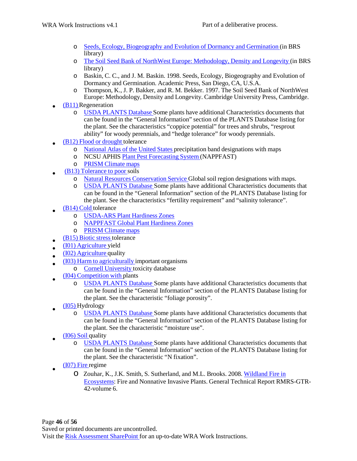- o Seeds, Ecology, Biogeography and Evolution of Dormancy and Germination (in BRS library)
- o The Soil Seed Bank of NorthWest Europe: Methodology, Density and Longevity (in BRS library)
- o Baskin, C. C., and J. M. Baskin. 1998. Seeds, Ecology, Biogeography and Evolution of Dormancy and Germination. Academic Press, San Diego, CA, U.S.A.
- o Thompson, K., J. P. Bakker, and R. M. Bekker. 1997. The Soil Seed Bank of NorthWest Europe: Methodology, Density and Longevity. Cambridge University Press, Cambridge.
- (B11) Regeneration •
	- o USDA PLANTS Database Some plants have additional Characteristics documents that can be found in the "General Information" section of the PLANTS Database listing for the plant. See the characteristics "coppice potential" for trees and shrubs, "resprout ability" for woody perennials, and "hedge tolerance" for woody perennials.
- (B12) Flood or drought tolerance •
	- o National Atlas of the United States precipitation band designations with maps
	- o NCSU APHIS Plant Pest Forecasting System (NAPPFAST)
	- o PRISM Climate maps
- (B13) Tolerance to poor soils •
	- o Natural Resources Conservation Service Global soil region designations with maps.
	- o USDA PLANTS Database Some plants have additional Characteristics documents that can be found in the "General Information" section of the PLANTS Database listing for the plant. See the characteristics "fertility requirement" and "salinity tolerance".
- (B14) Cold tolerance •
	- o USDA-ARS Plant Hardiness Zones
	- o NAPPFAST Global Plant Hardiness Zones
	- o PRISM Climate maps
- (B15) Biotic stress tolerance
- (I01) Agriculture yield • •
- (I02) Agriculture quality •
- (I03) Harm to agriculturally important organisms •
	- o Cornell University toxicity database
- (I04) Competition with plants •
	- o USDA PLANTS Database Some plants have additional Characteristics documents that can be found in the "General Information" section of the PLANTS Database listing for the plant. See the characteristic "foliage porosity".
- (I05) Hydrology •
	- o USDA PLANTS Database Some plants have additional Characteristics documents that can be found in the "General Information" section of the PLANTS Database listing for the plant. See the characteristic "moisture use".
- (I06) Soil quality •
	- o USDA PLANTS Database Some plants have additional Characteristics documents that can be found in the "General Information" section of the PLANTS Database listing for the plant. See the characteristic "N fixation".
- (I07) Fire regime •
	- o Zouhar, K., J.K. Smith, S. Sutherland, and M.L. Brooks. 2008. Wildland Fire in Ecosystems: Fire and Nonnative Invasive Plants. General Technical Report RMRS-GTR-42-volume 6.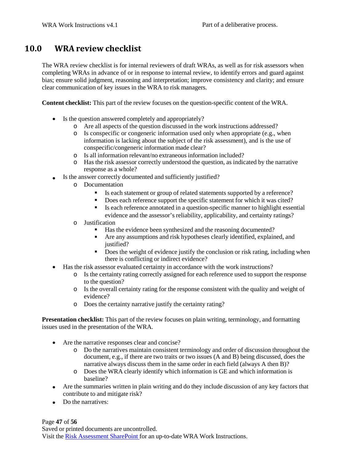### **10.0 WRA review checklist**

The WRA review checklist is for internal reviewers of draft WRAs, as well as for risk assessors when completing WRAs in advance of or in response to internal review, to identify errors and guard against bias; ensure solid judgment, reasoning and interpretation; improve consistency and clarity; and ensure clear communication of key issues in the WRA to risk managers.

**Content checklist:** This part of the review focuses on the question-specific content of the WRA.

- Is the question answered completely and appropriately?
	- o Are all aspects of the question discussed in the work instructions addressed?
	- o Is conspecific or congeneric information used only when appropriate (e.g., when information is lacking about the subject of the risk assessment), and is the use of conspecific/congeneric information made clear?
	- o Is all information relevant/no extraneousinformation included?
	- o Has the risk assessor correctly understood the question, as indicated by the narrative response as a whole?
- Is the answer correctly documented and sufficiently justified? •
	- o Documentation
		- . Is each statement or group of related statements supported by a reference?
		- $\blacksquare$ Does each reference support the specific statement for which it was cited?
		- $\blacksquare$ Is each reference annotated in a question-specific manner to highlight essential evidence and the assessor's reliability, applicability, and certainty ratings?
	- o Justification
		- $\mathbf{r}$ Has the evidence been synthesized and the reasoning documented?
		- Are any assumptions and risk hypotheses clearly identified, explained, and justified?
		- Does the weight of evidence justify the conclusion or risk rating, including when there is conflicting or indirect evidence?
- Has the risk assessor evaluated certainty in accordance with the work instructions?
	- o Is the certainty rating correctly assigned for each reference used to support the response to the question?
	- o Is the overall certainty rating for the response consistent with the quality and weight of evidence?
	- o Does the certainty narrative justify the certainty rating?

**Presentation checklist:** This part of the review focuses on plain writing, terminology, and formatting issues used in the presentation of the WRA.

- Are the narrative responses clear and concise?
	- o Do the narratives maintain consistent terminology and order of discussion throughout the document, e.g., if there are two traits or two issues (A and B) being discussed, does the narrative always discuss them in the same order in each field (always A then B)?
	- o Does the WRA clearly identify which information is GE and which information is baseline?
- Are the summaries written in plain writing and do they include discussion of any key factors that contribute to and mitigate risk?
- Do the narratives:

Page **47** of **56** Saved or printed documents are uncontrolled. Visit the Risk Assessment SharePoint for an up-to-date WRA Work Instructions.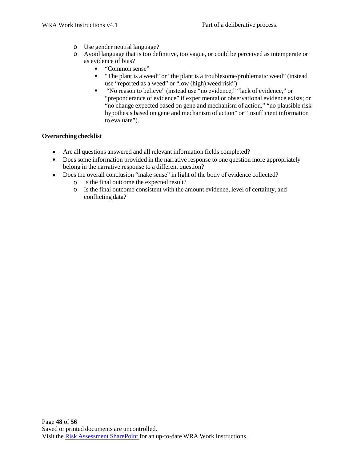- o Use gender neutral language?
- o Avoid language that is too definitive, too vague, or could be perceived as intemperate or as evidence of bias?
	- . "Common sense"
	- **The plant is a weed" or "the plant is a troublesome/problematic weed" (instead** use "reported as a weed" or "low (high) weed risk")
	- "No reason to believe" (instead use "no evidence," "lack of evidence," or "preponderance of evidence" if experimental or observational evidence exists; or "no change expected based on gene and mechanism of action," "no plausible risk hypothesis based on gene and mechanism of action" or "insufficient information to evaluate"). .

#### **Overarching checklist**

- Are all questions answered and all relevant information fields completed?
- Does some information provided in the narrative response to one question more appropriately belong in the narrative response to a different question?
- Does the overall conclusion "make sense" in light of the body of evidence collected?
	- Is the final outcome the expected result? o
	- Is the final outcome consistent with the amount evidence, level of certainty, and o conflicting data?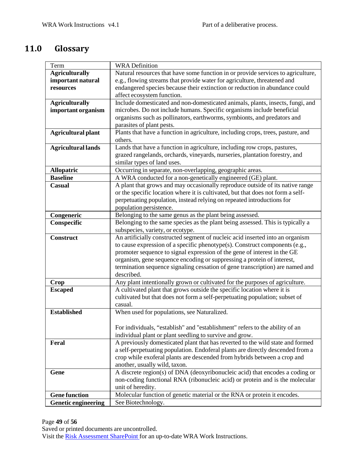## **11.0 Glossary**

| Term                       | <b>WRA Definition</b>                                                            |
|----------------------------|----------------------------------------------------------------------------------|
| <b>Agriculturally</b>      | Natural resources that have some function in or provide services to agriculture, |
| important natural          | e.g., flowing streams that provide water for agriculture, threatened and         |
| resources                  | endangered species because their extinction or reduction in abundance could      |
|                            | affect ecosystem function.                                                       |
| <b>Agriculturally</b>      | Include domesticated and non-domesticated animals, plants, insects, fungi, and   |
| important organism         | microbes. Do not include humans. Specific organisms include beneficial           |
|                            | organisms such as pollinators, earthworms, symbionts, and predators and          |
|                            | parasites of plant pests.                                                        |
| <b>Agricultural plant</b>  | Plants that have a function in agriculture, including crops, trees, pasture, and |
|                            | others.                                                                          |
| <b>Agricultural lands</b>  | Lands that have a function in agriculture, including row crops, pastures,        |
|                            | grazed rangelands, orchards, vineyards, nurseries, plantation forestry, and      |
|                            | similar types of land uses.                                                      |
| <b>Allopatric</b>          | Occurring in separate, non-overlapping, geographic areas.                        |
| <b>Baseline</b>            | A WRA conducted for a non-genetically engineered (GE) plant.                     |
| <b>Casual</b>              | A plant that grows and may occasionally reproduce outside of its native range    |
|                            | or the specific location where it is cultivated, but that does not form a self-  |
|                            | perpetuating population, instead relying on repeated introductions for           |
|                            | population persistence.                                                          |
| Congeneric                 | Belonging to the same genus as the plant being assessed.                         |
| Conspecific                | Belonging to the same species as the plant being assessed. This is typically a   |
|                            | subspecies, variety, or ecotype.                                                 |
| <b>Construct</b>           | An artificially constructed segment of nucleic acid inserted into an organism    |
|                            | to cause expression of a specific phenotype(s). Construct components (e.g.,      |
|                            | promoter sequence to signal expression of the gene of interest in the GE         |
|                            | organism, gene sequence encoding or suppressing a protein of interest,           |
|                            | termination sequence signaling cessation of gene transcription) are named and    |
|                            | described.                                                                       |
| <b>Crop</b>                | Any plant intentionally grown or cultivated for the purposes of agriculture.     |
| <b>Escaped</b>             | A cultivated plant that grows outside the specific location where it is          |
|                            | cultivated but that does not form a self-perpetuating population; subset of      |
|                            | casual.                                                                          |
| <b>Established</b>         | When used for populations, see Naturalized.                                      |
|                            |                                                                                  |
|                            | For individuals, "establish" and "establishment" refers to the ability of an     |
|                            | individual plant or plant seedling to survive and grow.                          |
| Feral                      | A previously domesticated plant that has reverted to the wild state and formed   |
|                            | a self-perpetuating population. Endoferal plants are directly descended from a   |
|                            | crop while exoferal plants are descended from hybrids between a crop and         |
|                            | another, usually wild, taxon.                                                    |
| Gene                       | A discrete region(s) of DNA (deoxyribonucleic acid) that encodes a coding or     |
|                            | non-coding functional RNA (ribonucleic acid) or protein and is the molecular     |
|                            | unit of heredity.                                                                |
| <b>Gene function</b>       | Molecular function of genetic material or the RNA or protein it encodes.         |
| <b>Genetic engineering</b> | See Biotechnology.                                                               |
|                            |                                                                                  |

Page **49** of **56**

Saved or printed documents are uncontrolled.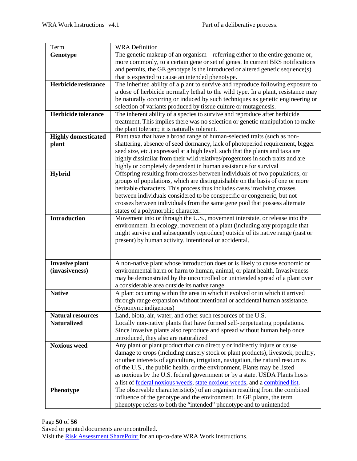| Term                       | <b>WRA</b> Definition                                                                                             |
|----------------------------|-------------------------------------------------------------------------------------------------------------------|
| Genotype                   | The genetic makeup of an organism – referring either to the entire genome or,                                     |
|                            | more commonly, to a certain gene or set of genes. In current BRS notifications                                    |
|                            | and permits, the GE genotype is the introduced or altered genetic sequence(s)                                     |
|                            | that is expected to cause an intended phenotype.                                                                  |
| Herbicide resistance       | The inherited ability of a plant to survive and reproduce following exposure to                                   |
|                            | a dose of herbicide normally lethal to the wild type. In a plant, resistance may                                  |
|                            | be naturally occurring or induced by such techniques as genetic engineering or                                    |
|                            | selection of variants produced by tissue culture or mutagenesis.                                                  |
| Herbicide tolerance        | The inherent ability of a species to survive and reproduce after herbicide                                        |
|                            | treatment. This implies there was no selection or genetic manipulation to make                                    |
|                            | the plant tolerant; it is naturally tolerant.                                                                     |
| <b>Highly domesticated</b> | Plant taxa that have a broad range of human-selected traits (such as non-                                         |
| plant                      | shattering, absence of seed dormancy, lack of photoperiod requirement, bigger                                     |
|                            | seed size, etc.) expressed at a high level, such that the plants and taxa are                                     |
|                            | highly dissimilar from their wild relatives/progenitors in such traits and are                                    |
|                            | highly or completely dependent in human assistance for survival                                                   |
| Hybrid                     | Offspring resulting from crosses between individuals of two populations, or                                       |
|                            | groups of populations, which are distinguishable on the basis of one or more                                      |
|                            | heritable characters. This process thus includes cases involving crosses                                          |
|                            | between individuals considered to be conspecific or congeneric, but not                                           |
|                            | crosses between individuals from the same gene pool that possess alternate                                        |
| <b>Introduction</b>        | states of a polymorphic character.<br>Movement into or through the U.S., movement interstate, or release into the |
|                            | environment. In ecology, movement of a plant (including any propagule that                                        |
|                            | might survive and subsequently reproduce) outside of its native range (past or                                    |
|                            | present) by human activity, intentional or accidental.                                                            |
|                            |                                                                                                                   |
|                            |                                                                                                                   |
| <b>Invasive plant</b>      | A non-native plant whose introduction does or is likely to cause economic or                                      |
| (invasiveness)             | environmental harm or harm to human, animal, or plant health. Invasiveness                                        |
|                            | may be demonstrated by the uncontrolled or unintended spread of a plant over                                      |
|                            | a considerable area outside its native range.                                                                     |
| <b>Native</b>              | A plant occurring within the area in which it evolved or in which it arrived                                      |
|                            | through range expansion without intentional or accidental human assistance.                                       |
|                            | (Synonym: indigenous)                                                                                             |
| <b>Natural resources</b>   | Land, biota, air, water, and other such resources of the U.S.                                                     |
| <b>Naturalized</b>         | Locally non-native plants that have formed self-perpetuating populations.                                         |
|                            | Since invasive plants also reproduce and spread without human help once                                           |
|                            | introduced, they also are naturalized                                                                             |
| <b>Noxious weed</b>        | Any plant or plant product that can directly or indirectly injure or cause                                        |
|                            | damage to crops (including nursery stock or plant products), livestock, poultry,                                  |
|                            | or other interests of agriculture, irrigation, navigation, the natural resources                                  |
|                            | of the U.S., the public health, or the environment. Plants may be listed                                          |
|                            | as noxious by the U.S. federal government or by a state. USDA Plants hosts                                        |
|                            | a list of <u>federal noxious weeds</u> , state noxious weeds, and a combined list.                                |
| <b>Phenotype</b>           | The observable characteristic(s) of an organism resulting from the combined                                       |
|                            | influence of the genotype and the environment. In GE plants, the term                                             |
|                            | phenotype refers to both the "intended" phenotype and to unintended                                               |

#### Page **50** of **56**

Saved or printed documents are uncontrolled.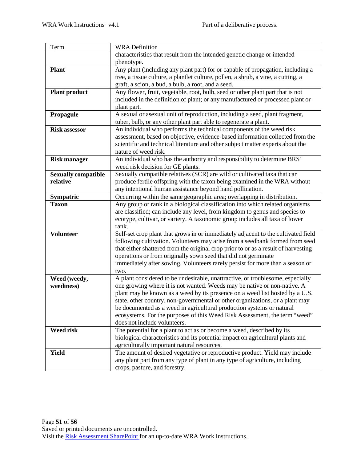| Term                       | <b>WRA</b> Definition                                                              |
|----------------------------|------------------------------------------------------------------------------------|
|                            | characteristics that result from the intended genetic change or intended           |
|                            | phenotype.                                                                         |
| <b>Plant</b>               | Any plant (including any plant part) for or capable of propagation, including a    |
|                            | tree, a tissue culture, a plantlet culture, pollen, a shrub, a vine, a cutting, a  |
|                            | graft, a scion, a bud, a bulb, a root, and a seed.                                 |
| <b>Plant product</b>       | Any flower, fruit, vegetable, root, bulb, seed or other plant part that is not     |
|                            | included in the definition of plant; or any manufactured or processed plant or     |
|                            | plant part.                                                                        |
| Propagule                  | A sexual or asexual unit of reproduction, including a seed, plant fragment,        |
|                            | tuber, bulb, or any other plant part able to regenerate a plant.                   |
| <b>Risk assessor</b>       | An individual who performs the technical components of the weed risk               |
|                            | assessment, based on objective, evidence-based information collected from the      |
|                            | scientific and technical literature and other subject matter experts about the     |
|                            | nature of weed risk.                                                               |
| <b>Risk manager</b>        | An individual who has the authority and responsibility to determine BRS'           |
|                            | weed risk decision for GE plants.                                                  |
| <b>Sexually compatible</b> | Sexually compatible relatives (SCR) are wild or cultivated taxa that can           |
| relative                   | produce fertile offspring with the taxon being examined in the WRA without         |
|                            | any intentional human assistance beyond hand pollination.                          |
| Sympatric                  | Occurring within the same geographic area; overlapping in distribution.            |
| <b>Taxon</b>               | Any group or rank in a biological classification into which related organisms      |
|                            | are classified; can include any level, from kingdom to genus and species to        |
|                            | ecotype, cultivar, or variety. A taxonomic group includes all taxa of lower        |
|                            | rank.                                                                              |
| <b>Volunteer</b>           | Self-set crop plant that grows in or immediately adjacent to the cultivated field  |
|                            | following cultivation. Volunteers may arise from a seedbank formed from seed       |
|                            | that either shattered from the original crop prior to or as a result of harvesting |
|                            | operations or from originally sown seed that did not germinate                     |
|                            | immediately after sowing. Volunteers rarely persist for more than a season or      |
|                            | two.                                                                               |
| Weed (weedy,               | A plant considered to be undesirable, unattractive, or troublesome, especially     |
| weediness)                 | one growing where it is not wanted. Weeds may be native or non-native. A           |
|                            | plant may be known as a weed by its presence on a weed list hosted by a U.S.       |
|                            | state, other country, non-governmental or other organizations, or a plant may      |
|                            | be documented as a weed in agricultural production systems or natural              |
|                            | ecosystems. For the purposes of this Weed Risk Assessment, the term "weed"         |
|                            | does not include volunteers.                                                       |
| <b>Weed risk</b>           | The potential for a plant to act as or become a weed, described by its             |
|                            | biological characteristics and its potential impact on agricultural plants and     |
|                            | agriculturally important natural resources.                                        |
| <b>Yield</b>               | The amount of desired vegetative or reproductive product. Yield may include        |
|                            | any plant part from any type of plant in any type of agriculture, including        |
|                            | crops, pasture, and forestry.                                                      |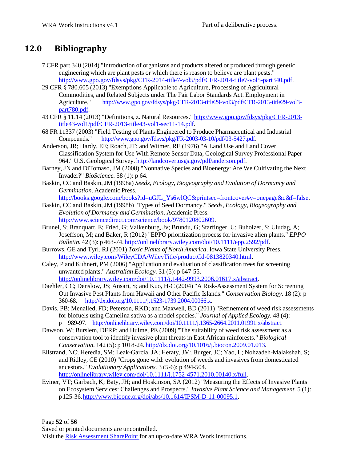### **12.0 Bibliography**

- 7 CFR part 340 (2014) "Introduction of organisms and products altered or produced through genetic engineering which are plant pests or which there is reason to believe are plant pests." [http://www.gpo.gov/fdsys/pkg/CFR-2014-title7-vol5/pdf/CFR-2014-title7-vol5-part340.pdf.](http://www.gpo.gov/fdsys/pkg/CFR-2014-title7-vol5/pdf/CFR-2014-title7-vol5-part340.pdf)
- 29 CFR § 780.605 (2013) "Exemptions Applicable to Agriculture, Processing of Agricultural Commodities, and Related Subjects under The Fair Labor Standards Act. Employment in Agriculture." [http://www.gpo.gov/fdsys/pkg/CFR-2013-title29-vol3/pdf/CFR-2013-title29-vol3](http://www.gpo.gov/fdsys/pkg/CFR-2013-title29-vol3/pdf/CFR-2013-title29-vol3-) part780.pdf.
- 43 CFR § 11.14 (2013) "Definitions, z. Natural Resources." [http://www.gpo.gov/fdsys/pkg/CFR-2013](http://www.gpo.gov/fdsys/pkg/CFR-2013-) title43-vol1/pdf/CFR-2013-title43-vol1-sec11-14.pdf.
- 68 FR 11337 (2003) "Field Testing of Plants Engineered to Produce Pharmaceutical and Industrial Compounds." [http://www.gpo.gov/fdsys/pkg/FR-2003-03-10/pdf/03-5427.pdf.](http://www.gpo.gov/fdsys/pkg/FR-2003-03-10/pdf/03-5427.pdf)
- Anderson, JR; Hardy, EE; Roach, JT; and Witmer, RE (1976) "A Land Use and Land Cover Classification System for Use With Remote Sensor Data, Geological Survey Professional Paper 964." U.S. Geological Survey. [http://landcover.usgs.gov/pdf/anderson.pdf.](http://landcover.usgs.gov/pdf/anderson.pdf)
- Barney, JN and DiTomaso, JM (2008) "Nonnative Species and Bioenergy: Are We Cultivating the Next Invader?" *BioScience.* 58 (1): p 64.
- Baskin, CC and Baskin, JM (1998a) *Seeds, Ecology, Biogeography and Evolution of Dormancy and Germination*. Academic Press.

[http://books.google.com/books?id=uGJL\\_Ys6wlQC&printsec=frontcover#v=onepage&q&f=false.](http://books.google.com/books?id=uGJL_Ys6wlQC&printsec=frontcover%23v%3Donepage&q&f=false)

- Baskin, CC and Baskin, JM (1998b) "Types of Seed Dormancy." *Seeds, Ecology, Biogeography and Evolution of Dormancy and Germination*. Academic Press. [http://www.sciencedirect.com/science/book/9780120802609.](http://www.sciencedirect.com/science/book/9780120802609)
- Brunel, S; Branquart, E; Fried, G; Valkenburg, Jv; Brundu, G; Starfinger, U; Buholzer, S; Uludag, A; Joseffson, M; and Baker, R (2012) "EPPO prioritization process for invasive alien plants." *EPPO Bulletin.* 42 (3): p 463-74. [http://onlinelibrary.wiley.com/doi/10.1111/epp.2592/pdf.](http://onlinelibrary.wiley.com/doi/10.1111/epp.2592/pdf)
- Burrows, GE and Tyrl, RJ (2001) *Toxic Plants of North America*. Iowa State University Press. [http://www.wiley.com/WileyCDA/WileyTitle/productCd-0813820340.html.](http://www.wiley.com/WileyCDA/WileyTitle/productCd-0813820340.html)
- Caley, P and Kuhnert, PM (2006) "Application and evaluation of classification trees for screening unwanted plants." *Australian Ecology.* 31 (5): p 647-55. [http://onlinelibrary.wiley.com/doi/10.1111/j.1442-9993.2006.01617.x/abstract.](http://onlinelibrary.wiley.com/doi/10.1111/j.1442-9993.2006.01617.x/abstract)
- Daehler, CC; Denslow, JS; Ansari, S; and Kuo, H-C (2004) "A Risk-Assessment System for Screening Out Invasive Pest Plants from Hawaii and Other Pacific Islands." *Conservation Biology.* 18 (2): p 360-68. [http://dx.doi.org/10.1111/j.1523-1739.2004.00066.x.](http://dx.doi.org/10.1111/j.1523-1739.2004.00066.x)
- Davis, PB; Menalled, FD; Peterson, RKD; and Maxwell, BD (2011) "Refinement of weed risk assessments for biofuels using Camelina sativa as a model species." *Journal of Applied Ecology.* 48 (4): p 989-97. [http://onlinelibrary.wiley.com/doi/10.1111/j.1365-2664.2011.01991.x/abstract.](http://onlinelibrary.wiley.com/doi/10.1111/j.1365-2664.2011.01991.x/abstract)
- Dawson, W; Burslem, DFRP; and Hulme, PE (2009) "The suitability of weed risk assessment as a conservation tool to identify invasive plant threats in East African rainforests." *Biological Conservation.* 142 (5): p 1018-24. [http://dx.doi.org/10.1016/j.biocon.2009.01.013.](http://dx.doi.org/10.1016/j.biocon.2009.01.013)
- Ellstrand, NC; Heredia, SM; Leak-Garcia, JA; Heraty, JM; Burger, JC; Yao, L; Nohzadeh-Malakshah, S; and Ridley, CE (2010) "Crops gone wild: evolution of weeds and invasives from domesticated ancestors." *Evolutionary Applications.* 3 (5-6): p 494-504. [http://onlinelibrary.wiley.com/doi/10.1111/j.1752-4571.2010.00140.x/full.](http://onlinelibrary.wiley.com/doi/10.1111/j.1752-4571.2010.00140.x/full)
- Eviner, VT; Garbach, K; Baty, JH; and Hoskinson, SA (2012) "Measuring the Effects of Invasive Plants
- on Ecosystem Services: Challenges and Prospects." *Invasive Plant Science and Management.* 5 (1): p125-36[.http://www.bioone.org/doi/abs/10.1614/IPSM-D-11-00095.1.](http://www.bioone.org/doi/abs/10.1614/IPSM-D-11-00095.1)

Page **52** of **56**

Saved or printed documents are uncontrolled.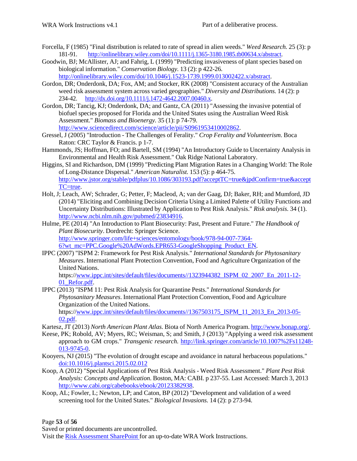- Forcella, F (1985) "Final distribution is related to rate of spread in alien weeds." *Weed Research.* 25 (3): p 181-91. [http://onlinelibrary.wiley.com/doi/10.1111/j.1365-3180.1985.tb00634.x/abstract.](http://onlinelibrary.wiley.com/doi/10.1111/j.1365-3180.1985.tb00634.x/abstract)
- Goodwin, BJ; McAllister, AJ; and Fahrig, L (1999) "Predicting invasiveness of plant species based on biological information." *Conservation Biology.* 13 (2): p 422-26. [http://onlinelibrary.wiley.com/doi/10.1046/j.1523-1739.1999.013002422.x/abstract.](http://onlinelibrary.wiley.com/doi/10.1046/j.1523-1739.1999.013002422.x/abstract)
- Gordon, DR; Onderdonk, DA; Fox, AM; and Stocker, RK (2008) "Consistent accuracy of the Australian weed risk assessment system across varied geographies." *Diversity and Distributions.* 14 (2): p 234-42. [http://dx.doi.org/10.1111/j.1472-4642.2007.00460.x.](http://dx.doi.org/10.1111/j.1472-4642.2007.00460.x)
- Gordon, DR; Tancig, KJ; Onderdonk, DA; and Gantz, CA (2011) "Assessing the invasive potential of biofuel species proposed for Florida and the United States using the Australian Weed Risk Assessment." *Biomass and Bioenergy.* 35 (1): p 74-79. [http://www.sciencedirect.com/science/article/pii/S0961953410002862.](http://www.sciencedirect.com/science/article/pii/S0961953410002862)
- Gressel, J (2005) "Introduction The Challenges of Ferality." *Crop Ferality and Volunteerism*. Boca Raton: CRC Taylor & Francis. p 1-7.
- Hammonds, JS; Hoffman, FO; and Bartell, SM (1994) "An Introductory Guide to Uncertainty Analysis in Environmental and Health Risk Assessment." Oak Ridge National Laboratory.
- Higgins, SI and Richardson, DM (1999) "Predicting Plant Migration Rates in a Changing World: The Role of Long-Distance Dispersal." *American Naturalist.* 153 (5): p 464-75. <http://www.jstor.org/stable/pdfplus/10.1086/303193.pdf?acceptTC=true&jpdConfirm=true&accept> TC=true.
- Holt, J; Leach, AW; Schrader, G; Petter, F; Macleod, A; van der Gaag, DJ; Baker, RH; and Mumford, JD (2014) "Eliciting and Combining Decision Criteria Using a Limited Palette of Utility Functions and Uncertainty Distributions: Illustrated by Application to Pest Risk Analysis." *Risk analysis.* 34 (1). [http://www.ncbi.nlm.nih.gov/pubmed/23834916.](http://www.ncbi.nlm.nih.gov/pubmed/23834916)
- Hulme, PE (2014) "An Introduction to Plant Biosecurity: Past, Present and Future." *The Handbook of Plant Biosecurity*. Dordrecht: Springer Science. [http://www.springer.com/life+sciences/entomology/book/978-94-007-7364-](http://www.springer.com/life%2Bsciences/entomology/book/978-94-007-7364-) 6?wt\_mc=PPC.Google%20AdWords.EPR653-GoogleShopping\_Product\_EN.
- IPPC (2007) "ISPM 2: Framework for Pest Risk Analysis." *International Standards for Phytosanitary Measures*. International Plant Protection Convention, Food and Agriculture Organization of the United Nations.

https:/[/www.ippc.int/sites/default/files/documents//1323944382\\_ISPM\\_02\\_2007\\_En\\_2011-12-](http://www.ippc.int/sites/default/files/documents/1323944382_ISPM_02_2007_En_2011-12-) 01<sup></sup> Refor.pdf.

IPPC (2013) "ISPM 11: Pest Risk Analysis for Quarantine Pests." *International Standards for Phytosanitary Measures*. International Plant Protection Convention, Food and Agriculture Organization of the United Nations. https:/[/www.ippc.int/sites/default/files/documents//1367503175\\_ISPM\\_11\\_2013\\_En\\_2013-05-](http://www.ippc.int/sites/default/files/documents/1367503175_ISPM_11_2013_En_2013-05-)

02.pdf.

- Kartesz, JT (2013) *North American Plant Atlas*. Biota of North America Program. [http://www.bonap.org/.](http://www.bonap.org/)
- Keese, PK; Robold, AV; Myers, RC; Weisman, S; and Smith, J (2013) "Applying a weed risk assessment approach to GM crops." *Transgenic research.* <http://link.springer.com/article/10.1007%2Fs11248-> 013-9745-0.
- Kooyers, NJ (2015) "The evolution of drought escape and avoidance in natural herbaceous populations." doi:10.1016/j.plantsci.2015.02.012
- Koop, A (2012) "Special Applications of Pest Risk Analysis Weed Risk Assessment." *Plant Pest Risk Analysis: Concepts and Application*. Boston, MA: CABI. p 237-55. Last Accessed: March 3, 2013 [http://www.cabi.org/cabebooks/ebook/20123382938.](http://www.cabi.org/cabebooks/ebook/20123382938)
- Koop, AL; Fowler, L; Newton, LP; and Caton, BP (2012) "Development and validation of a weed screening tool for the United States." *Biological Invasions.* 14 (2): p 273-94.

Page **53** of **56**

Saved or printed documents are uncontrolled.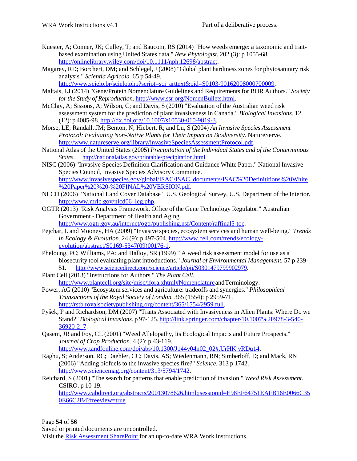- Kuester, A; Conner, JK; Culley, T; and Baucom, RS (2014) "How weeds emerge: a taxonomic and traitbased examination using United States data." *New Phytologist.* 202 (3): p 1055-68. [http://onlinelibrary.wiley.com/doi/10.1111/nph.12698/abstract.](http://onlinelibrary.wiley.com/doi/10.1111/nph.12698/abstract)
- Magarey, RD; Borchert, DM; and Schlegel, J (2008) "Global plant hardiness zones for phytosanitary risk analysis." *Scientia Agricola.* 65 p 54-49.

[http://www.scielo.br/scielo.php?script=sci\\_arttext&pid=S0103-90162008000700009.](http://www.scielo.br/scielo.php?script=sci_arttext&pid=S0103-90162008000700009)

- Maltais, LJ (2014) "Gene/Protein Nomenclature Guidelines and Requirements for BOR Authors." *Society forthe Study of Reproduction.* [http://www.ssr.org/NomenBullets.html.](http://www.ssr.org/NomenBullets.html)
- McClay, A; Sissons, A; Wilson, C; and Davis, S (2010) "Evaluation of the Australian weed risk assessment system for the prediction of plant invasiveness in Canada." *Biological Invasions.* 12 (12): p 4085-98. [http://dx.doi.org/10.1007/s10530-010-9819-3.](http://dx.doi.org/10.1007/s10530-010-9819-3)
- Morse, LE; Randall, JM; Benton, N; Hiebert, R; and Lu, S (2004) *An Invasive Species Assessment Protocol: Evaluating Non-Native Plants for Their Impact on Biodiversity*. NatureServe. [http://www.natureserve.org/library/invasiveSpeciesAssessmentProtocol.pdf.](http://www.natureserve.org/library/invasiveSpeciesAssessmentProtocol.pdf)
- National Atlas of the United States (2005) *Precipitation of the Individual States and of the Conterminous States*. [http://nationalatlas.gov/printable/precipitation.html.](http://nationalatlas.gov/printable/precipitation.html)
- NISC (2006) "Invasive Species Definition Clarification and Guidance White Paper." National Invasive Species Council, Invasive Species Advisory Committee. [http://www.invasivespecies.gov/global/ISAC/ISAC\\_documents/ISAC%20Definititions%20White](http://www.invasivespecies.gov/global/ISAC/ISAC_documents/ISAC%20Definititions%20White) %20Paper%20%20-%20FINAL%20VERSION.pdf.
- NLCD (2006) "National Land Cover Database " U.S. Geological Survey, U.S. Department of the Interior. [http://www.mrlc.gov/nlcd06\\_leg.php.](http://www.mrlc.gov/nlcd06_leg.php)
- OGTR (2013) "Risk Analysis Framework. Office of the Gene Technology Regulator." Australian Government - Department of Health and Aging. [http://www.ogtr.gov.au/internet/ogtr/publishing.nsf/Content/raffinal5-toc.](http://www.ogtr.gov.au/internet/ogtr/publishing.nsf/Content/raffinal5-toc)
- Pejchar, L and Mooney, HA (2009) "Invasive species, ecosystem services and human well-being." *Trends in Ecology & Evolution.* 24 (9): p 497-504. [http://www.cell.com/trends/ecology](http://www.cell.com/trends/ecology-)evolution/abstract/S0169-5347(09)00176-1.
- Pheloung, PC; Williams, PA; and Halloy, SR (1999) " A weed risk assessment model for use as a biosecurity tool evaluating plant introductions." *Journal of Environmental Management.* 57 p 239- 51. [http://www.sciencedirect.com/science/article/pii/S0301479799902979.](http://www.sciencedirect.com/science/article/pii/S0301479799902979)
- Plant Cell (2013) "Instructions for Authors." *The Plant Cell.* http://www.plantcell.org/site/misc/ifora.xhtml#Nomenclature and Terminology.
- Power, AG (2010) "Ecosystem services and agriculture: tradeoffs and synergies." *Philosophical Transactions of the Royal Society of London.* 365 (1554): p 2959-71. [http://rstb.royalsocietypublishing.org/content/365/1554/2959.full.](http://rstb.royalsocietypublishing.org/content/365/1554/2959.full)
- Pyšek, P and Richardson, DM (2007) "Traits Associated with Invasiveness in Alien Plants: Where Do we Stand?" *BiologicalInvasions*. p 97-125. <http://link.springer.com/chapter/10.1007%2F978-3-540-> 36920-2\_7.
- Qasem, JR and Foy, CL (2001) "Weed Allelopathy, Its Ecological Impacts and Future Prospects." *Journal of Crop Production.* 4 (2): p 43-119. [http://www.tandfonline.com/doi/abs/10.1300/J144v04n02\\_02#.UrHKjvRDu14.](http://www.tandfonline.com/doi/abs/10.1300/J144v04n02_02#.UrHKjvRDu14)
- Raghu, S; Anderson, RC; Daehler, CC; Davis, AS; Wiedenmann, RN; Simberloff, D; and Mack, RN (2006) "Adding biofuels to the invasive species fire?" *Science.* 313 p 1742. [http://www.sciencemag.org/content/313/5794/1742.](http://www.sciencemag.org/content/313/5794/1742)
- Reichard, S (2001) "The search for patterns that enable prediction of invasion." *Weed Risk Assessment*. CSIRO. p 10-19.

[http://www.cabdirect.org/abstracts/20013078626.html;jsessionid=E98EF64751EAFB16E0066C35](http://www.cabdirect.org/abstracts/20013078626.html%3Bjsessionid%3DE98EF64751EAFB16E0066C35) 0E66C2B4?freeview=true.

Page **54** of **56**

Saved or printed documents are uncontrolled.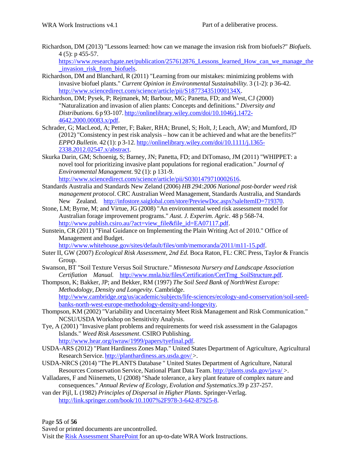Richardson, DM (2013) "Lessons learned: how can we manage the invasion risk from biofuels?" *Biofuels.* 4 (5): p 455-57.

[https://www.researchgate.net/publication/257612876\\_Lessons\\_learn](http://www.researchgate.net/publication/257612876_Lessons_learned_How_can_we_manage_the)ed\_Ho[w\\_can\\_we\\_manage\\_the](http://www.researchgate.net/publication/257612876_Lessons_learned_How_can_we_manage_the) \_invasion\_risk\_from\_biofuels.

- Richardson, DM and Blanchard, R (2011) "Learning from our mistakes: minimizing problems with invasive biofuel plants." *Current Opinion in Environmental Sustainability.* 3 (1-2): p 36-42. [http://www.sciencedirect.com/science/article/pii/S187734351000134X.](http://www.sciencedirect.com/science/article/pii/S187734351000134X)
- Richardson, DM; Pysek, P; Rejmanek, M; Barbour, MG; Panetta, FD; and West, CJ (2000) "Naturalization and invasion of alien plants: Concepts and definitions." *Diversity and Distributions.* 6 p 93-107. <http://onlinelibrary.wiley.com/doi/10.1046/j.1472-> 4642.2000.00083.x/pdf.
- Schrader, G; MacLeod, A; Petter, F; Baker, RHA; Brunel, S; Holt, J; Leach, AW; and Mumford, JD (2012) "Consistency in pest risk analysis – how can it be achieved and what are the benefits?" *EPPO Bulletin.* 42 (1): p 3-12. <http://onlinelibrary.wiley.com/doi/10.1111/j.1365-> 2338.2012.02547.x/abstract.
- Skurka Darin, GM; Schoenig, S; Barney, JN; Panetta, FD; and DiTomaso, JM (2011) "WHIPPET: a novel tool for prioritizing invasive plant populations for regional eradication." *Journal of Environmental Management.* 92 (1): p 131-9. [http://www.sciencedirect.com/science/article/pii/S0301479710002616.](http://www.sciencedirect.com/science/article/pii/S0301479710002616)
- Standards Australia and Standards New Zeland (2006) *HB 294:2006 National post-border weed risk management protocol*. CRC Australian Weed Management, Standards Australia, and Standards New Zealand. [http://infostore.saiglobal.com/store/PreviewDoc.aspx?saleItemID=719370.](http://infostore.saiglobal.com/store/PreviewDoc.aspx?saleItemID=719370)
- Stone, LM; Byrne, M; and Virtue, JG (2008) "An environmental weed risk assessment model for Australian forage improvement programs." *Aust. J. Experim. Agric.* 48 p 568-74. [http://www.publish.csiro.au/?act=view\\_file&file\\_id=EA07117.pdf.](http://www.publish.csiro.au/?act=view_file&file_id=EA07117.pdf)
- Sunstein, CR (2011) "Final Guidance on Implementing the Plain Writing Act of 2010." Office of Management and Budget.

[http://www.whitehouse.gov/sites/default/files/omb/memoranda/2011/m11-15.pdf.](http://www.whitehouse.gov/sites/default/files/omb/memoranda/2011/m11-15.pdf)

- Suter II, GW (2007) *Ecological Risk Assessment, 2nd Ed.* Boca Raton, FL: CRC Press, Taylor & Francis Group.
- Swanson, BT "Soil Texture Versus Soil Structure." *Minnesota Nursery and Landscape Association Certifiation Manual.* [http://www.mnla.biz/files/Certification/CertTrng\\_SoilStructure.pdf.](http://www.mnla.biz/files/Certification/CertTrng_SoilStructure.pdf)
- Thompson, K; Bakker, JP; and Bekker, RM (1997) *The Soil Seed Bank of NorthWest Europe: Methodology, Density and Longevity*. Cambridge. [http://www.cambridge.org/us/academic/subjects/life-sciences/ecology-and-conservation/soil-seed](http://www.cambridge.org/us/academic/subjects/life-sciences/ecology-and-conservation/soil-seed-)banks-north-west-europe-methodology-density-and-longevity.
- Thompson, KM (2002) "Variability and Uncertainty Meet Risk Management and Risk Communication." NCSU/USDA Workshop on Sensitivity Analysis.
- Tye, A (2001) "Invasive plant problems and requirements for weed risk assessment in the Galapagos Islands." *Weed Risk Assessment*. CSIRO Publishing. [http://www.hear.org/iwraw/1999/papers/tyefinal.pdf.](http://www.hear.org/iwraw/1999/papers/tyefinal.pdf)
- USDA-ARS (2012) "Plant Hardiness Zones Map*.*" United States Department of Agriculture, Agricultural Research Service. <http://planthardiness.ars.usda.gov/> >.
- USDA-NRCS (2014) "The PLANTS Database " United States Department of Agriculture, Natural Resources Conservation Service, National Plant Data Team. <http://plants.usda.gov/java/> >.
- Valladares, F and Niinemets, U (2008) "Shade tolerance, a key plant feature of complex nature and consequences." *Annual Review of Ecology, Evolution and Systematics.*39 p 237-257.
- van der Pijl, L (1982) *Principles of Dispersal in Higher Plants*. Springer-Verlag. [http://link.springer.com/book/10.1007%2F978-3-642-87925-8.](http://link.springer.com/book/10.1007%2F978-3-642-87925-8)

Page **55** of **56**

Saved or printed documents are uncontrolled.